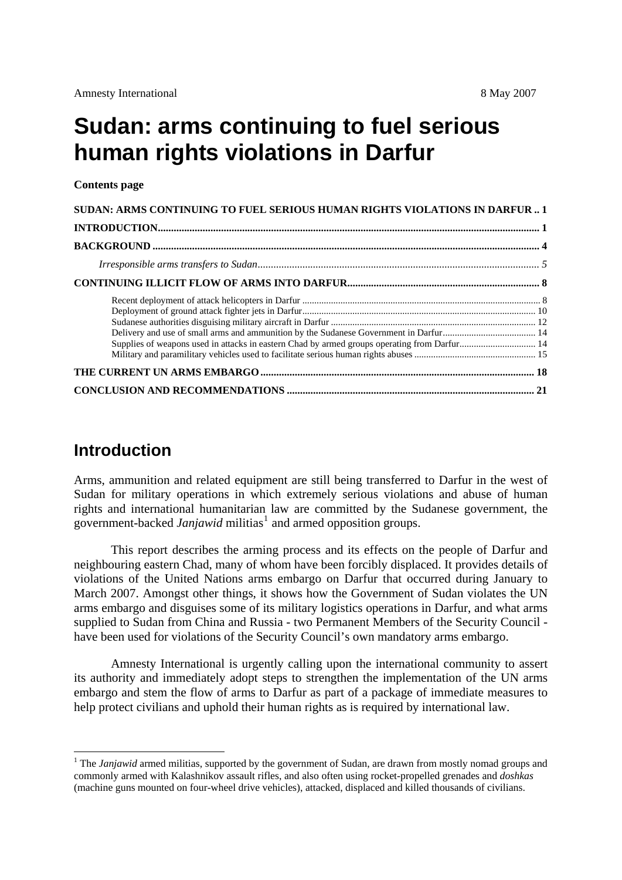# <span id="page-0-0"></span>**Sudan: arms continuing to fuel serious human rights violations in Darfur**

#### **Contents page**

| SUDAN: ARMS CONTINUING TO FUEL SERIOUS HUMAN RIGHTS VIOLATIONS IN DARFUR  1                  |  |
|----------------------------------------------------------------------------------------------|--|
|                                                                                              |  |
|                                                                                              |  |
|                                                                                              |  |
|                                                                                              |  |
|                                                                                              |  |
|                                                                                              |  |
|                                                                                              |  |
|                                                                                              |  |
| Supplies of weapons used in attacks in eastern Chad by armed groups operating from Darfur 14 |  |
|                                                                                              |  |
|                                                                                              |  |
|                                                                                              |  |

# **Introduction**

1

Arms, ammunition and related equipment are still being transferred to Darfur in the west of Sudan for military operations in which extremely serious violations and abuse of human rights and international humanitarian law are committed by the Sudanese government, the government-backed *Janjawid* militias<sup>[1](#page-0-1)</sup> and armed opposition groups.

This report describes the arming process and its effects on the people of Darfur and neighbouring eastern Chad, many of whom have been forcibly displaced. It provides details of violations of the United Nations arms embargo on Darfur that occurred during January to March 2007. Amongst other things, it shows how the Government of Sudan violates the UN arms embargo and disguises some of its military logistics operations in Darfur, and what arms supplied to Sudan from China and Russia - two Permanent Members of the Security Council have been used for violations of the Security Council's own mandatory arms embargo.

Amnesty International is urgently calling upon the international community to assert its authority and immediately adopt steps to strengthen the implementation of the UN arms embargo and stem the flow of arms to Darfur as part of a package of immediate measures to help protect civilians and uphold their human rights as is required by international law.

<span id="page-0-1"></span><sup>&</sup>lt;sup>1</sup> The *Janjawid* armed militias, supported by the government of Sudan, are drawn from mostly nomad groups and commonly armed with Kalashnikov assault rifles, and also often using rocket-propelled grenades and *doshkas* (machine guns mounted on four-wheel drive vehicles), attacked, displaced and killed thousands of civilians.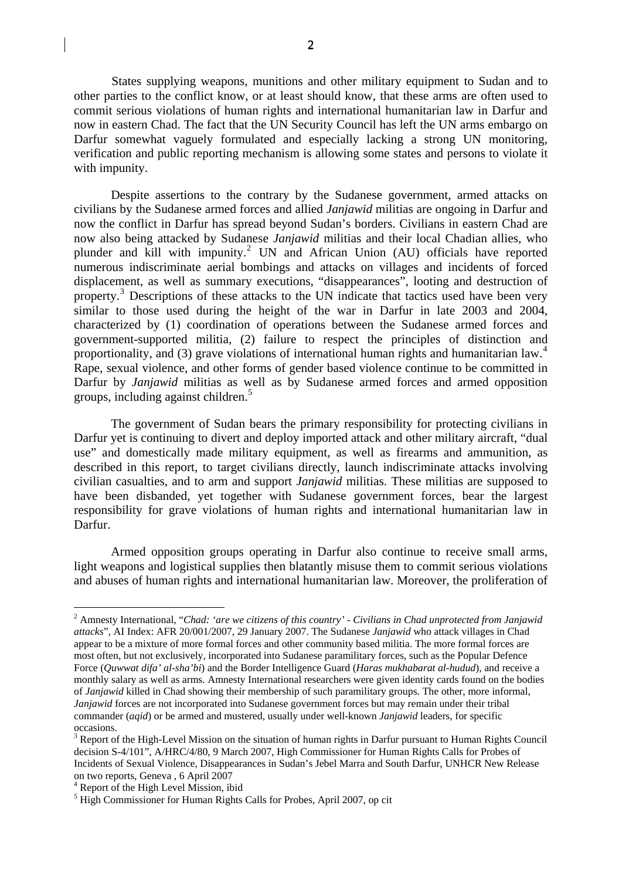States supplying weapons, munitions and other military equipment to Sudan and to other parties to the conflict know, or at least should know, that these arms are often used to commit serious violations of human rights and international humanitarian law in Darfur and now in eastern Chad. The fact that the UN Security Council has left the UN arms embargo on Darfur somewhat vaguely formulated and especially lacking a strong UN monitoring, verification and public reporting mechanism is allowing some states and persons to violate it with impunity.

Despite assertions to the contrary by the Sudanese government, armed attacks on civilians by the Sudanese armed forces and allied *Janjawid* militias are ongoing in Darfur and now the conflict in Darfur has spread beyond Sudan's borders. Civilians in eastern Chad are now also being attacked by Sudanese *Janjawid* militias and their local Chadian allies, who plunder and kill with impunity.<sup>[2](#page-1-0)</sup> UN and African Union (AU) officials have reported numerous indiscriminate aerial bombings and attacks on villages and incidents of forced displacement, as well as summary executions, "disappearances", looting and destruction of property.<sup>[3](#page-1-1)</sup> Descriptions of these attacks to the UN indicate that tactics used have been very similar to those used during the height of the war in Darfur in late 2003 and 2004, characterized by (1) coordination of operations between the Sudanese armed forces and government-supported militia, (2) failure to respect the principles of distinction and proportionality, and (3) grave violations of international human rights and humanitarian law.<sup>[4](#page-1-2)</sup> Rape, sexual violence, and other forms of gender based violence continue to be committed in Darfur by *Janjawid* militias as well as by Sudanese armed forces and armed opposition groups, including against children.<sup>[5](#page-1-3)</sup>

The government of Sudan bears the primary responsibility for protecting civilians in Darfur yet is continuing to divert and deploy imported attack and other military aircraft, "dual use" and domestically made military equipment, as well as firearms and ammunition, as described in this report, to target civilians directly, launch indiscriminate attacks involving civilian casualties, and to arm and support *Janjawid* militias. These militias are supposed to have been disbanded, yet together with Sudanese government forces, bear the largest responsibility for grave violations of human rights and international humanitarian law in Darfur.

Armed opposition groups operating in Darfur also continue to receive small arms, light weapons and logistical supplies then blatantly misuse them to commit serious violations and abuses of human rights and international humanitarian law. Moreover, the proliferation of

<span id="page-1-0"></span><sup>2</sup> Amnesty International, "*Chad: 'are we citizens of this country' - Civilians in Chad unprotected from Janjawid attacks*", AI Index: AFR 20/001/2007, 29 January 2007. The Sudanese *Janjawid* who attack villages in Chad appear to be a mixture of more formal forces and other community based militia. The more formal forces are most often, but not exclusively, incorporated into Sudanese paramilitary forces, such as the Popular Defence Force (*Quwwat difa' al-sha'bi*) and the Border Intelligence Guard (*Haras mukhabarat al-hudud*), and receive a monthly salary as well as arms. Amnesty International researchers were given identity cards found on the bodies of *Janjawid* killed in Chad showing their membership of such paramilitary groups. The other, more informal, *Janjawid* forces are not incorporated into Sudanese government forces but may remain under their tribal commander (*aqid*) or be armed and mustered, usually under well-known *Janjawid* leaders, for specific occasions.

<span id="page-1-1"></span><sup>&</sup>lt;sup>3</sup> Report of the High-Level Mission on the situation of human rights in Darfur pursuant to Human Rights Council decision S-4/101", A/HRC/4/80, 9 March 2007, High Commissioner for Human Rights Calls for Probes of Incidents of Sexual Violence, Disappearances in Sudan's Jebel Marra and South Darfur, UNHCR New Release on two reports, Geneva , 6 April 2007

<span id="page-1-2"></span><sup>4</sup> Report of the High Level Mission, ibid

<span id="page-1-3"></span><sup>&</sup>lt;sup>5</sup> High Commissioner for Human Rights Calls for Probes, April 2007, op cit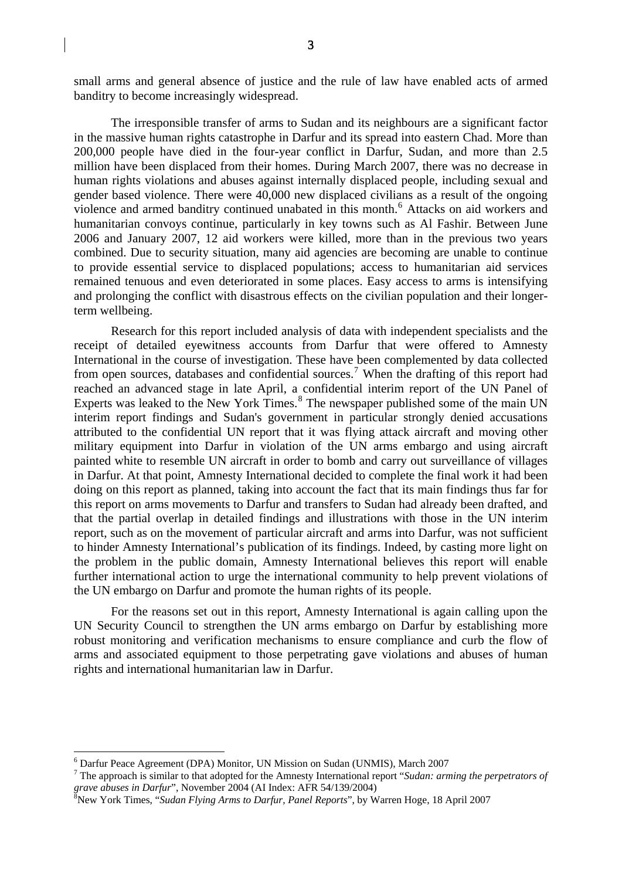small arms and general absence of justice and the rule of law have enabled acts of armed banditry to become increasingly widespread.

The irresponsible transfer of arms to Sudan and its neighbours are a significant factor in the massive human rights catastrophe in Darfur and its spread into eastern Chad. More than 200,000 people have died in the four-year conflict in Darfur, Sudan, and more than 2.5 million have been displaced from their homes. During March 2007, there was no decrease in human rights violations and abuses against internally displaced people, including sexual and gender based violence. There were 40,000 new displaced civilians as a result of the ongoing violence and armed banditry continued unabated in this month.<sup>[6](#page-2-0)</sup> Attacks on aid workers and humanitarian convoys continue, particularly in key towns such as Al Fashir. Between June 2006 and January 2007, 12 aid workers were killed, more than in the previous two years combined. Due to security situation, many aid agencies are becoming are unable to continue to provide essential service to displaced populations; access to humanitarian aid services remained tenuous and even deteriorated in some places. Easy access to arms is intensifying and prolonging the conflict with disastrous effects on the civilian population and their longerterm wellbeing.

Research for this report included analysis of data with independent specialists and the receipt of detailed eyewitness accounts from Darfur that were offered to Amnesty International in the course of investigation. These have been complemented by data collected from open sources, databases and confidential sources.<sup>[7](#page-2-1)</sup> When the drafting of this report had reached an advanced stage in late April, a confidential interim report of the UN Panel of Experts was leaked to the New York Times.<sup>[8](#page-2-2)</sup> The newspaper published some of the main UN interim report findings and Sudan's government in particular strongly denied accusations attributed to the confidential UN report that it was flying attack aircraft and moving other military equipment into Darfur in violation of the UN arms embargo and using aircraft painted white to resemble UN aircraft in order to bomb and carry out surveillance of villages in Darfur. At that point, Amnesty International decided to complete the final work it had been doing on this report as planned, taking into account the fact that its main findings thus far for this report on arms movements to Darfur and transfers to Sudan had already been drafted, and that the partial overlap in detailed findings and illustrations with those in the UN interim report, such as on the movement of particular aircraft and arms into Darfur, was not sufficient to hinder Amnesty International's publication of its findings. Indeed, by casting more light on the problem in the public domain, Amnesty International believes this report will enable further international action to urge the international community to help prevent violations of the UN embargo on Darfur and promote the human rights of its people.

For the reasons set out in this report, Amnesty International is again calling upon the UN Security Council to strengthen the UN arms embargo on Darfur by establishing more robust monitoring and verification mechanisms to ensure compliance and curb the flow of arms and associated equipment to those perpetrating gave violations and abuses of human rights and international humanitarian law in Darfur.

<span id="page-2-0"></span><sup>&</sup>lt;sup>6</sup> Darfur Peace Agreement (DPA) Monitor, UN Mission on Sudan (UNMIS), March 2007

<span id="page-2-1"></span>The approach is similar to that adopted for the Amnesty International report "*Sudan: arming the perpetrators of*  grave abuses in Darfur", November 2004 (AI Index: AFR 54/139/2004)<br><sup>8</sup>New York Times, *"Sudan Flying Arms to Darfur, Panel Reports*", by Warren Hoge, 18 April 2007

<span id="page-2-2"></span>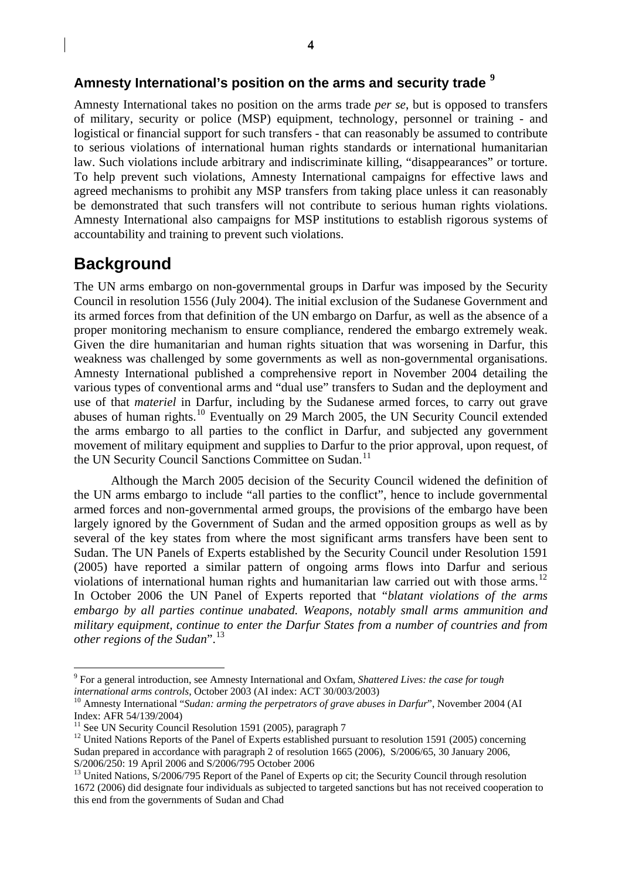# <span id="page-3-0"></span>**Amnesty International's position on the arms and security trade [9](#page-3-1)**

Amnesty International takes no position on the arms trade *per se*, but is opposed to transfers of military, security or police (MSP) equipment, technology, personnel or training - and logistical or financial support for such transfers - that can reasonably be assumed to contribute to serious violations of international human rights standards or international humanitarian law. Such violations include arbitrary and indiscriminate killing, "disappearances" or torture. To help prevent such violations, Amnesty International campaigns for effective laws and agreed mechanisms to prohibit any MSP transfers from taking place unless it can reasonably be demonstrated that such transfers will not contribute to serious human rights violations. Amnesty International also campaigns for MSP institutions to establish rigorous systems of accountability and training to prevent such violations.

# **Background**

<u>.</u>

The UN arms embargo on non-governmental groups in Darfur was imposed by the Security Council in resolution 1556 (July 2004). The initial exclusion of the Sudanese Government and its armed forces from that definition of the UN embargo on Darfur, as well as the absence of a proper monitoring mechanism to ensure compliance, rendered the embargo extremely weak. Given the dire humanitarian and human rights situation that was worsening in Darfur, this weakness was challenged by some governments as well as non-governmental organisations. Amnesty International published a comprehensive report in November 2004 detailing the various types of conventional arms and "dual use" transfers to Sudan and the deployment and use of that *materiel* in Darfur, including by the Sudanese armed forces, to carry out grave abuses of human rights.<sup>[10](#page-3-2)</sup> Eventually on 29 March 2005, the UN Security Council extended the arms embargo to all parties to the conflict in Darfur, and subjected any government movement of military equipment and supplies to Darfur to the prior approval, upon request, of the UN Security Council Sanctions Committee on Sudan.<sup>[11](#page-3-3)</sup>

Although the March 2005 decision of the Security Council widened the definition of the UN arms embargo to include "all parties to the conflict", hence to include governmental armed forces and non-governmental armed groups, the provisions of the embargo have been largely ignored by the Government of Sudan and the armed opposition groups as well as by several of the key states from where the most significant arms transfers have been sent to Sudan. The UN Panels of Experts established by the Security Council under Resolution 1591 (2005) have reported a similar pattern of ongoing arms flows into Darfur and serious violations of international human rights and humanitarian law carried out with those arms.<sup>[12](#page-3-4)</sup> In October 2006 the UN Panel of Experts reported that "*blatant violations of the arms embargo by all parties continue unabated. Weapons, notably small arms ammunition and military equipment, continue to enter the Darfur States from a number of countries and from other regions of the Sudan*".[13](#page-3-5)

<span id="page-3-1"></span><sup>9</sup> For a general introduction, see Amnesty International and Oxfam, *Shattered Lives: the case for tough* 

<span id="page-3-2"></span>*international arms controls*, October 2003 (AI index: ACT 30/003/2003)<br><sup>10</sup> Amnesty International "*Sudan: arming the perpetrators of grave abuses in Darfur*", November 2004 (AI Index: AFR 54/139/2004)

<sup>&</sup>lt;sup>11</sup> See UN Security Council Resolution 1591 (2005), paragraph 7

<span id="page-3-4"></span><span id="page-3-3"></span><sup>&</sup>lt;sup>12</sup> United Nations Reports of the Panel of Experts established pursuant to resolution 1591 (2005) concerning Sudan prepared in accordance with paragraph 2 of resolution 1665 (2006), S/2006/65, 30 January 2006, S/2006/250: 19 April 2006 and S/2006/795 October 2006

<span id="page-3-5"></span><sup>&</sup>lt;sup>13</sup> United Nations, S/2006/795 Report of the Panel of Experts op cit; the Security Council through resolution 1672 (2006) did designate four individuals as subjected to targeted sanctions but has not received cooperation to this end from the governments of Sudan and Chad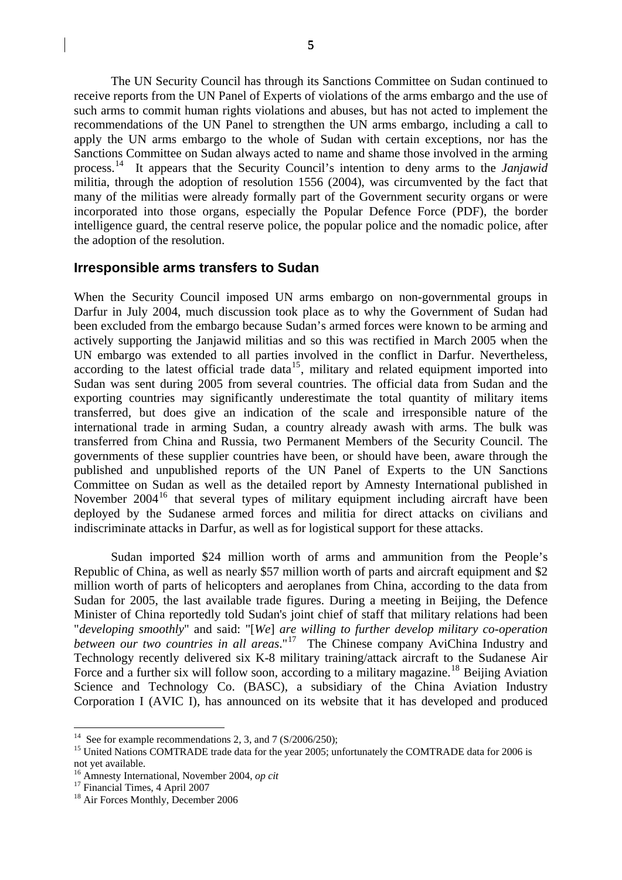5

<span id="page-4-0"></span>The UN Security Council has through its Sanctions Committee on Sudan continued to receive reports from the UN Panel of Experts of violations of the arms embargo and the use of such arms to commit human rights violations and abuses, but has not acted to implement the recommendations of the UN Panel to strengthen the UN arms embargo, including a call to apply the UN arms embargo to the whole of Sudan with certain exceptions, nor has the Sanctions Committee on Sudan always acted to name and shame those involved in the arming process. [14](#page-4-1) It appears that the Security Council's intention to deny arms to the *Janjawid*  militia, through the adoption of resolution 1556 (2004), was circumvented by the fact that many of the militias were already formally part of the Government security organs or were incorporated into those organs, especially the Popular Defence Force (PDF), the border intelligence guard, the central reserve police, the popular police and the nomadic police, after the adoption of the resolution.

## **Irresponsible arms transfers to Sudan**

When the Security Council imposed UN arms embargo on non-governmental groups in Darfur in July 2004, much discussion took place as to why the Government of Sudan had been excluded from the embargo because Sudan's armed forces were known to be arming and actively supporting the Janjawid militias and so this was rectified in March 2005 when the UN embargo was extended to all parties involved in the conflict in Darfur. Nevertheless, according to the latest official trade data<sup>[15](#page-4-2)</sup>, military and related equipment imported into Sudan was sent during 2005 from several countries. The official data from Sudan and the exporting countries may significantly underestimate the total quantity of military items transferred, but does give an indication of the scale and irresponsible nature of the international trade in arming Sudan, a country already awash with arms. The bulk was transferred from China and Russia, two Permanent Members of the Security Council. The governments of these supplier countries have been, or should have been, aware through the published and unpublished reports of the UN Panel of Experts to the UN Sanctions Committee on Sudan as well as the detailed report by Amnesty International published in November 2004<sup>[16](#page-4-3)</sup> that several types of military equipment including aircraft have been deployed by the Sudanese armed forces and militia for direct attacks on civilians and indiscriminate attacks in Darfur, as well as for logistical support for these attacks.

Sudan imported \$24 million worth of arms and ammunition from the People's Republic of China, as well as nearly \$57 million worth of parts and aircraft equipment and \$2 million worth of parts of helicopters and aeroplanes from China, according to the data from Sudan for 2005, the last available trade figures. During a meeting in Beijing, the Defence Minister of China reportedly told Sudan's joint chief of staff that military relations had been "*developing smoothly*" and said: "[*We*] *are willing to further develop military co-operation between our two countries in all areas*."[17](#page-4-4) The Chinese company AviChina Industry and Technology recently delivered six K-8 military training/attack aircraft to the Sudanese Air Force and a further six will follow soon, according to a military magazine.<sup>[18](#page-4-5)</sup> Beijing Aviation Science and Technology Co. (BASC), a subsidiary of the China Aviation Industry Corporation I (AVIC I), has announced on its website that it has developed and produced

<span id="page-4-1"></span><sup>&</sup>lt;sup>14</sup> See for example recommendations 2, 3, and 7 ( $S/2006/250$ );

<span id="page-4-2"></span><sup>&</sup>lt;sup>15</sup> United Nations COMTRADE trade data for the year 2005; unfortunately the COMTRADE data for 2006 is not yet available.

<span id="page-4-3"></span><sup>&</sup>lt;sup>16</sup> Amnesty International, November 2004, *op cit*<sup>17</sup> Financial Times, 4 April 2007

<span id="page-4-4"></span>

<span id="page-4-5"></span><sup>&</sup>lt;sup>18</sup> Air Forces Monthly, December 2006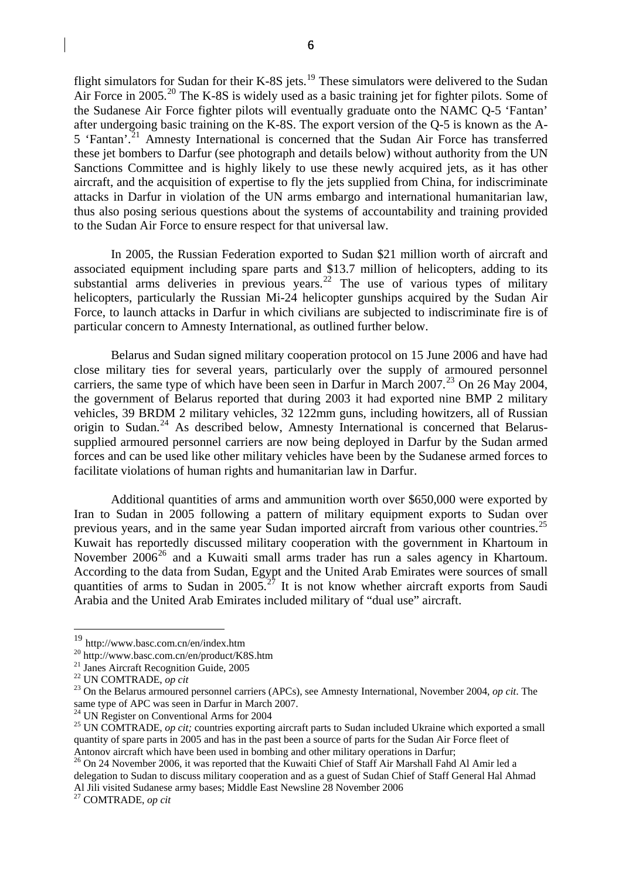flight simulators for Sudan for their K-8S jets.<sup>[19](#page-5-0)</sup> These simulators were delivered to the Sudan Air Force in [20](#page-5-1)05.<sup>20</sup> The K-8S is widely used as a basic training jet for fighter pilots. Some of the Sudanese Air Force fighter pilots will eventually graduate onto the NAMC Q-5 'Fantan' after undergoing basic training on the K-8S. The export version of the Q-5 is known as the A-5 'Fantan'.<sup>[21](#page-5-2)</sup> Amnesty International is concerned that the Sudan Air Force has transferred these jet bombers to Darfur (see photograph and details below) without authority from the UN Sanctions Committee and is highly likely to use these newly acquired jets, as it has other aircraft, and the acquisition of expertise to fly the jets supplied from China, for indiscriminate attacks in Darfur in violation of the UN arms embargo and international humanitarian law, thus also posing serious questions about the systems of accountability and training provided to the Sudan Air Force to ensure respect for that universal law.

In 2005, the Russian Federation exported to Sudan \$21 million worth of aircraft and associated equipment including spare parts and \$13.7 million of helicopters, adding to its substantial arms deliveries in previous years.<sup>[22](#page-5-3)</sup> The use of various types of military helicopters, particularly the Russian Mi-24 helicopter gunships acquired by the Sudan Air Force, to launch attacks in Darfur in which civilians are subjected to indiscriminate fire is of particular concern to Amnesty International, as outlined further below.

Belarus and Sudan signed military cooperation protocol on 15 June 2006 and have had close military ties for several years, particularly over the supply of armoured personnel carriers, the same type of which have been seen in Darfur in March 2007.<sup>[23](#page-5-4)</sup> On 26 May 2004, the government of Belarus reported that during 2003 it had exported nine BMP 2 military vehicles, 39 BRDM 2 military vehicles, 32 122mm guns, including howitzers, all of Russian origin to Sudan.<sup>[24](#page-5-5)</sup> As described below, Amnesty International is concerned that Belarussupplied armoured personnel carriers are now being deployed in Darfur by the Sudan armed forces and can be used like other military vehicles have been by the Sudanese armed forces to facilitate violations of human rights and humanitarian law in Darfur.

Additional quantities of arms and ammunition worth over \$650,000 were exported by Iran to Sudan in 2005 following a pattern of military equipment exports to Sudan over previous years, and in the same year Sudan imported aircraft from various other countries.<sup>[25](#page-5-6)</sup> Kuwait has reportedly discussed military cooperation with the government in Khartoum in November  $2006^{26}$  $2006^{26}$  $2006^{26}$  and a Kuwaiti small arms trader has run a sales agency in Khartoum. According to the data from Sudan, Egypt and the United Arab Emirates were sources of small quantities of arms to Sudan in  $2005.^{27}$  $2005.^{27}$  $2005.^{27}$  It is not know whether aircraft exports from Saudi Arabia and the United Arab Emirates included military of "dual use" aircraft.

<span id="page-5-0"></span><sup>19</sup> http://www.basc.com.cn/en/index.htm

<span id="page-5-1"></span><sup>&</sup>lt;sup>20</sup> http://www.basc.com.cn/en/product/K8S.htm<br><sup>21</sup> Janes Aircraft Recognition Guide, 2005<br><sup>22</sup> UN COMTRADE, *op cit* 

<span id="page-5-2"></span>

<span id="page-5-4"></span><span id="page-5-3"></span><sup>&</sup>lt;sup>23</sup> On the Belarus armoured personnel carriers (APCs), see Amnesty International, November 2004, *op cit*. The same type of APC was seen in Darfur in March 2007.

<sup>&</sup>lt;sup>24</sup> UN Register on Conventional Arms for 2004

<span id="page-5-6"></span><span id="page-5-5"></span><sup>&</sup>lt;sup>25</sup> UN COMTRADE, *op cit;* countries exporting aircraft parts to Sudan included Ukraine which exported a small quantity of spare parts in 2005 and has in the past been a source of parts for the Sudan Air Force fleet of

<span id="page-5-7"></span>Antonov aircraft which have been used in bombing and other military operations in Darfur;<br><sup>26</sup> On 24 November 2006, it was reported that the Kuwaiti Chief of Staff Air Marshall Fahd Al Amir led a delegation to Sudan to discuss military cooperation and as a guest of Sudan Chief of Staff General Hal Ahmad Al Jili visited Sudanese army bases; Middle East Newsline 28 November 2006

<span id="page-5-8"></span><sup>27</sup> COMTRADE, *op cit*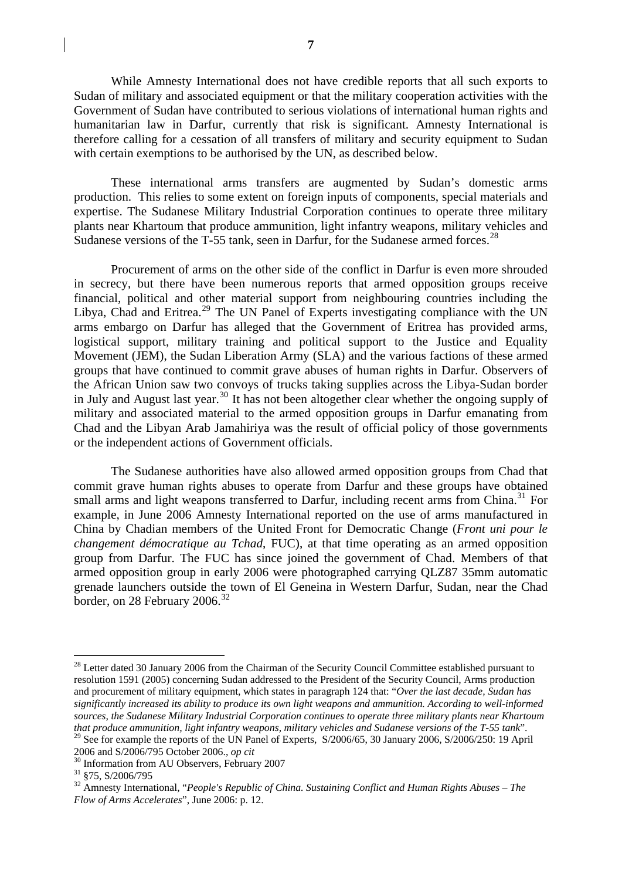While Amnesty International does not have credible reports that all such exports to Sudan of military and associated equipment or that the military cooperation activities with the Government of Sudan have contributed to serious violations of international human rights and humanitarian law in Darfur, currently that risk is significant. Amnesty International is therefore calling for a cessation of all transfers of military and security equipment to Sudan with certain exemptions to be authorised by the UN, as described below.

These international arms transfers are augmented by Sudan's domestic arms production. This relies to some extent on foreign inputs of components, special materials and expertise. The Sudanese Military Industrial Corporation continues to operate three military plants near Khartoum that produce ammunition, light infantry weapons, military vehicles and Sudanese versions of the T-55 tank, seen in Darfur, for the Sudanese armed forces.<sup>[28](#page-6-0)</sup>

Procurement of arms on the other side of the conflict in Darfur is even more shrouded in secrecy, but there have been numerous reports that armed opposition groups receive financial, political and other material support from neighbouring countries including the Libya, Chad and Eritrea.<sup>[29](#page-6-1)</sup> The UN Panel of Experts investigating compliance with the UN arms embargo on Darfur has alleged that the Government of Eritrea has provided arms, logistical support, military training and political support to the Justice and Equality Movement (JEM), the Sudan Liberation Army (SLA) and the various factions of these armed groups that have continued to commit grave abuses of human rights in Darfur. Observers of the African Union saw two convoys of trucks taking supplies across the Libya-Sudan border in July and August last year.<sup>[30](#page-6-2)</sup> It has not been altogether clear whether the ongoing supply of military and associated material to the armed opposition groups in Darfur emanating from Chad and the Libyan Arab Jamahiriya was the result of official policy of those governments or the independent actions of Government officials.

The Sudanese authorities have also allowed armed opposition groups from Chad that commit grave human rights abuses to operate from Darfur and these groups have obtained small arms and light weapons transferred to Darfur, including recent arms from China.<sup>[31](#page-6-3)</sup> For example, in June 2006 Amnesty International reported on the use of arms manufactured in China by Chadian members of the United Front for Democratic Change (*Front uni pour le changement démocratique au Tchad*, FUC), at that time operating as an armed opposition group from Darfur. The FUC has since joined the government of Chad. Members of that armed opposition group in early 2006 were photographed carrying QLZ87 35mm automatic grenade launchers outside the town of El Geneina in Western Darfur, Sudan, near the Chad border, on 28 February 2006.<sup>[32](#page-6-4)</sup>

<span id="page-6-0"></span><sup>&</sup>lt;sup>28</sup> Letter dated 30 January 2006 from the Chairman of the Security Council Committee established pursuant to resolution 1591 (2005) concerning Sudan addressed to the President of the Security Council, Arms production and procurement of military equipment, which states in paragraph 124 that: "*Over the last decade, Sudan has significantly increased its ability to produce its own light weapons and ammunition. According to well-informed sources, the Sudanese Military Industrial Corporation continues to operate three military plants near Khartoum that produce ammunition, light infantry weapons, military vehicles and Sudanese versions of the T-55 tank*". <sup>29</sup> See for example the reports of the UN Panel of Experts, S/2006/65, 30 January 2006, S/2006/250: 19 April 2006 and S/2006/795 October 2006., *op cit* 

<span id="page-6-1"></span>

<sup>&</sup>lt;sup>30</sup> Information from AU Observers, February 2007

<span id="page-6-3"></span><span id="page-6-2"></span><sup>31 §75,</sup> S/2006/795

<span id="page-6-4"></span><sup>32</sup> Amnesty International, "*People's Republic of China. Sustaining Conflict and Human Rights Abuses – The Flow of Arms Accelerates*", June 2006: p. 12.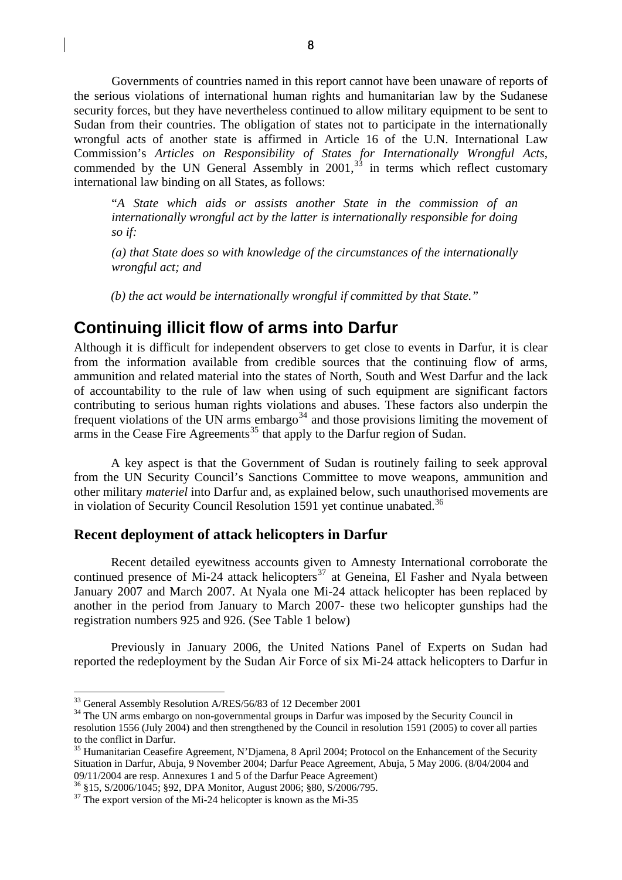<span id="page-7-0"></span>Governments of countries named in this report cannot have been unaware of reports of the serious violations of international human rights and humanitarian law by the Sudanese security forces, but they have nevertheless continued to allow military equipment to be sent to Sudan from their countries. The obligation of states not to participate in the internationally wrongful acts of another state is affirmed in Article 16 of the U.N. International Law Commission's *Articles on Responsibility of States for Internationally Wrongful Acts*, commended by the UN General Assembly in  $2001<sup>33</sup>$  $2001<sup>33</sup>$  $2001<sup>33</sup>$  in terms which reflect customary international law binding on all States, as follows:

"*A State which aids or assists another State in the commission of an internationally wrongful act by the latter is internationally responsible for doing so if:* 

*(a) that State does so with knowledge of the circumstances of the internationally wrongful act; and* 

*(b) the act would be internationally wrongful if committed by that State."* 

# **Continuing illicit flow of arms into Darfur**

Although it is difficult for independent observers to get close to events in Darfur, it is clear from the information available from credible sources that the continuing flow of arms, ammunition and related material into the states of North, South and West Darfur and the lack of accountability to the rule of law when using of such equipment are significant factors contributing to serious human rights violations and abuses. These factors also underpin the frequent violations of the UN arms embargo<sup>[34](#page-7-2)</sup> and those provisions limiting the movement of arms in the Cease Fire Agreements<sup>[35](#page-7-3)</sup> that apply to the Darfur region of Sudan.

A key aspect is that the Government of Sudan is routinely failing to seek approval from the UN Security Council's Sanctions Committee to move weapons, ammunition and other military *materiel* into Darfur and, as explained below, such unauthorised movements are in violation of Security Council Resolution 1591 yet continue unabated.<sup>[36](#page-7-4)</sup>

#### **Recent deployment of attack helicopters in Darfur**

 Recent detailed eyewitness accounts given to Amnesty International corroborate the continued presence of Mi-24 attack helicopters<sup>[37](#page-7-5)</sup> at Geneina, El Fasher and Nyala between January 2007 and March 2007. At Nyala one Mi-24 attack helicopter has been replaced by another in the period from January to March 2007- these two helicopter gunships had the registration numbers 925 and 926. (See Table 1 below)

Previously in January 2006, the United Nations Panel of Experts on Sudan had reported the redeployment by the Sudan Air Force of six Mi-24 attack helicopters to Darfur in

<span id="page-7-2"></span><span id="page-7-1"></span> $33$  General Assembly Resolution A/RES/56/83 of 12 December 2001<br> $34$  The UN arms embargo on non-governmental groups in Darfur was imposed by the Security Council in resolution 1556 (July 2004) and then strengthened by the Council in resolution 1591 (2005) to cover all parties to the conflict in Darfur.

<span id="page-7-3"></span><sup>&</sup>lt;sup>35</sup> Humanitarian Ceasefire Agreement, N'Djamena, 8 April 2004; Protocol on the Enhancement of the Security Situation in Darfur, Abuja, 9 November 2004; Darfur Peace Agreement, Abuja, 5 May 2006. (8/04/2004 and 09/11/2004 are resp. Annexures 1 and 5 of the Darfur Peace Agreement) 36 §15, S/2006/1045; §92, DPA Monitor, August 2006; §80, S/2006/795.

<span id="page-7-4"></span>

<span id="page-7-5"></span> $37$  The export version of the Mi-24 helicopter is known as the Mi-35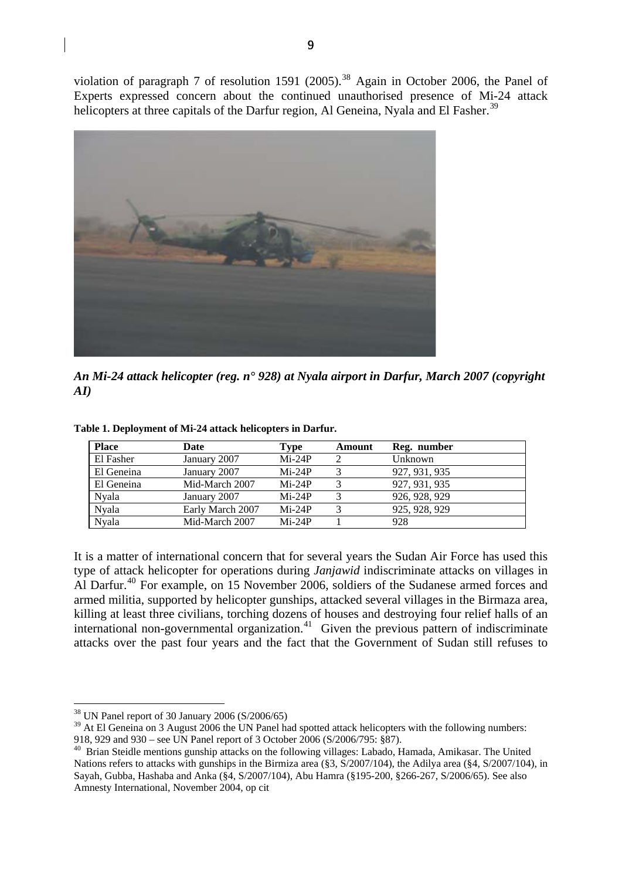violation of paragraph 7 of resolution 1591 (2005).<sup>[38](#page-8-0)</sup> Again in October 2006, the Panel of Experts expressed concern about the continued unauthorised presence of Mi-24 attack helicopters at three capitals of the Darfur region, Al Geneina, Nyala and El Fasher.<sup>[39](#page-8-1)</sup>



*An Mi-24 attack helicopter (reg. n° 928) at Nyala airport in Darfur, March 2007 (copyright AI)* 

| <b>Place</b> | Date             | Type     | Amount | Reg. number   |
|--------------|------------------|----------|--------|---------------|
| El Fasher    | January 2007     | $Mi-24P$ |        | Unknown       |
| El Geneina   | January 2007     | $Mi-24P$ |        | 927, 931, 935 |
| El Geneina   | Mid-March 2007   | $Mi-24P$ |        | 927, 931, 935 |
| <b>Nyala</b> | January 2007     | $Mi-24P$ |        | 926, 928, 929 |
| Nyala        | Early March 2007 | $Mi-24P$ |        | 925, 928, 929 |
| Nvala        | Mid-March 2007   | $Mi-24P$ |        | 928           |

**Table 1. Deployment of Mi-24 attack helicopters in Darfur.** 

It is a matter of international concern that for several years the Sudan Air Force has used this type of attack helicopter for operations during *Janjawid* indiscriminate attacks on villages in Al Darfur.<sup>[40](#page-8-2)</sup> For example, on 15 November 2006, soldiers of the Sudanese armed forces and armed militia, supported by helicopter gunships, attacked several villages in the Birmaza area, killing at least three civilians, torching dozens of houses and destroying four relief halls of an international non-governmental organization.<sup>[41](#page-8-3)</sup> Given the previous pattern of indiscriminate attacks over the past four years and the fact that the Government of Sudan still refuses to

<span id="page-8-0"></span><sup>38</sup> UN Panel report of 30 January 2006 (S/2006/65)

<span id="page-8-1"></span><sup>&</sup>lt;sup>39</sup> At El Geneina on 3 August 2006 the UN Panel had spotted attack helicopters with the following numbers:

<sup>918, 929</sup> and 930 – see UN Panel report of 3 October 2006 (S/2006/795: §87).

<span id="page-8-3"></span><span id="page-8-2"></span><sup>&</sup>lt;sup>40</sup> Brian Steidle mentions gunship attacks on the following villages: Labado, Hamada, Amikasar. The United Nations refers to attacks with gunships in the Birmiza area (§3, S/2007/104), the Adilya area (§4, S/2007/104), in Sayah, Gubba, Hashaba and Anka (§4, S/2007/104), Abu Hamra (§195-200, §266-267, S/2006/65). See also Amnesty International, November 2004, op cit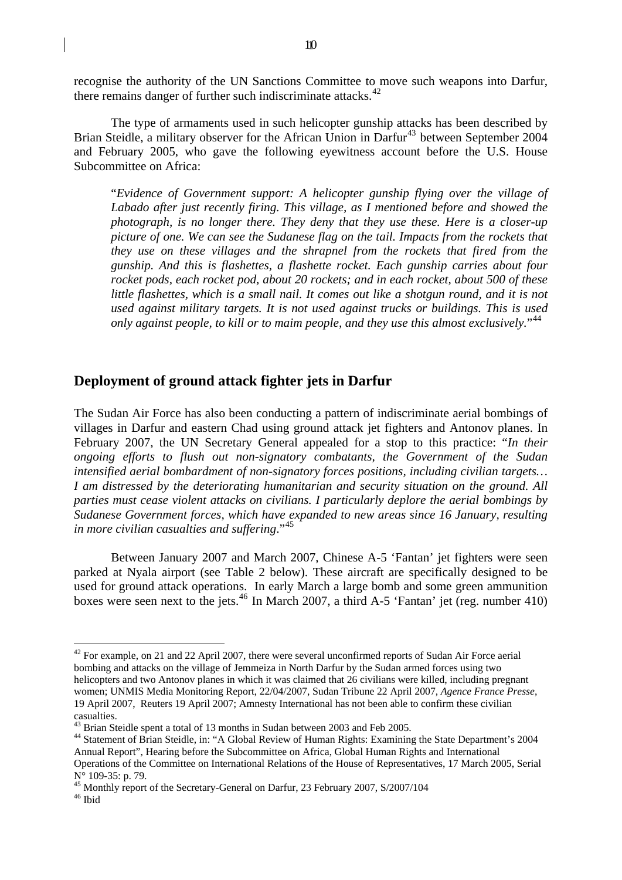<span id="page-9-0"></span>recognise the authority of the UN Sanctions Committee to move such weapons into Darfur, there remains danger of further such indiscriminate attacks.<sup>[42](#page-9-1)</sup>

The type of armaments used in such helicopter gunship attacks has been described by Brian Steidle, a military observer for the African Union in Darfur<sup>[43](#page-9-2)</sup> between September 2004 and February 2005, who gave the following eyewitness account before the U.S. House Subcommittee on Africa:

"*Evidence of Government support: A helicopter gunship flying over the village of Labado after just recently firing. This village, as I mentioned before and showed the photograph, is no longer there. They deny that they use these. Here is a closer-up picture of one. We can see the Sudanese flag on the tail. Impacts from the rockets that they use on these villages and the shrapnel from the rockets that fired from the gunship. And this is flashettes, a flashette rocket. Each gunship carries about four rocket pods, each rocket pod, about 20 rockets; and in each rocket, about 500 of these little flashettes, which is a small nail. It comes out like a shotgun round, and it is not used against military targets. It is not used against trucks or buildings. This is used only against people, to kill or to maim people, and they use this almost exclusively.*"[44](#page-9-3)

#### **Deployment of ground attack fighter jets in Darfur**

The Sudan Air Force has also been conducting a pattern of indiscriminate aerial bombings of villages in Darfur and eastern Chad using ground attack jet fighters and Antonov planes. In February 2007, the UN Secretary General appealed for a stop to this practice: "*In their ongoing efforts to flush out non-signatory combatants, the Government of the Sudan intensified aerial bombardment of non-signatory forces positions, including civilian targets… I am distressed by the deteriorating humanitarian and security situation on the ground. All parties must cease violent attacks on civilians. I particularly deplore the aerial bombings by Sudanese Government forces, which have expanded to new areas since 16 January, resulting in more civilian casualties and suffering*."[45](#page-9-4)

Between January 2007 and March 2007, Chinese A-5 'Fantan' jet fighters were seen parked at Nyala airport (see [Table 2](#page-10-0) below). These aircraft are specifically designed to be used for ground attack operations. In early March a large bomb and some green ammunition boxes were seen next to the jets.<sup>[46](#page-9-5)</sup> In March 2007, a third A-5 'Fantan' jet (reg. number 410)

<span id="page-9-1"></span> $42$  For example, on 21 and 22 April 2007, there were several unconfirmed reports of Sudan Air Force aerial bombing and attacks on the village of Jemmeiza in North Darfur by the Sudan armed forces using two helicopters and two Antonov planes in which it was claimed that 26 civilians were killed, including pregnant women; UNMIS Media Monitoring Report, 22/04/2007, Sudan Tribune 22 April 2007, *Agence France Presse*, 19 April 2007, Reuters 19 April 2007; Amnesty International has not been able to confirm these civilian casualties.

<span id="page-9-2"></span><sup>&</sup>lt;sup>43</sup> Brian Steidle spent a total of 13 months in Sudan between 2003 and Feb 2005.

<span id="page-9-3"></span><sup>44</sup> Statement of Brian Steidle, in: "A Global Review of Human Rights: Examining the State Department's 2004 Annual Report", Hearing before the Subcommittee on Africa, Global Human Rights and International Operations of the Committee on International Relations of the House of Representatives, 17 March 2005, Serial N° 109-35: p. 79.

<sup>&</sup>lt;sup>45</sup> Monthly report of the Secretary-General on Darfur, 23 February 2007, S/2007/104

<span id="page-9-5"></span><span id="page-9-4"></span><sup>46</sup> Ibid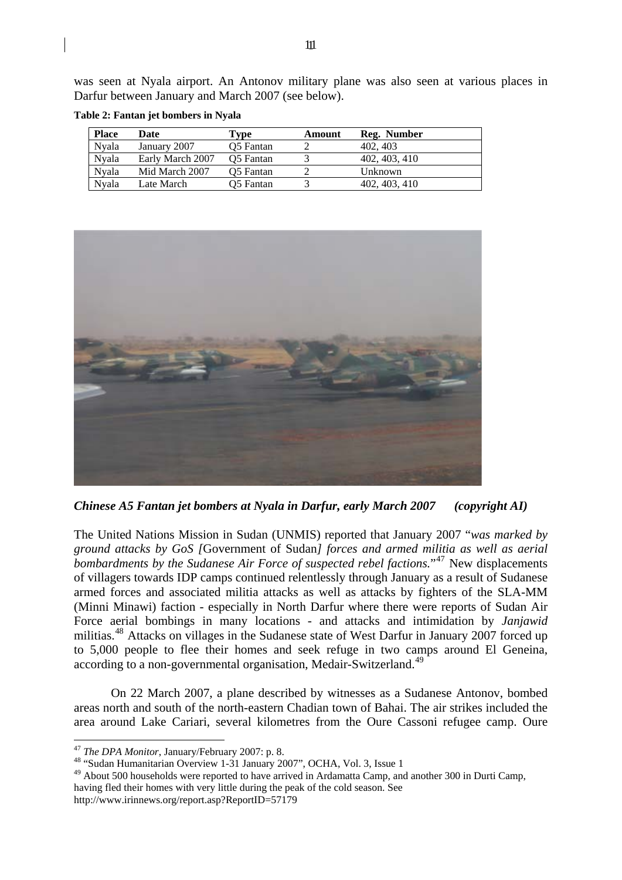was seen at Nyala airport. An Antonov military plane was also seen at various places in Darfur between January and March 2007 (see below).

| <b>Place</b> | Date             | Tvpe      | Amount | Reg. Number   |
|--------------|------------------|-----------|--------|---------------|
| Nvala        | January 2007     | O5 Fantan |        | 402, 403      |
| Nvala        | Early March 2007 | O5 Fantan |        | 402, 403, 410 |
| Nvala        | Mid March 2007   | O5 Fantan |        | Unknown       |
| Nvala        | Late March       | O5 Fantan |        | 402, 403, 410 |

<span id="page-10-0"></span>**Table 2: Fantan jet bombers in Nyala** 



*Chinese A5 Fantan jet bombers at Nyala in Darfur, early March 2007 (copyright AI)* 

The United Nations Mission in Sudan (UNMIS) reported that January 2007 "*was marked by ground attacks by GoS [*Government of Sudan*] forces and armed militia as well as aerial bombardments by the Sudanese Air Force of suspected rebel factions.*"[47](#page-10-1) New displacements of villagers towards IDP camps continued relentlessly through January as a result of Sudanese armed forces and associated militia attacks as well as attacks by fighters of the SLA-MM (Minni Minawi) faction - especially in North Darfur where there were reports of Sudan Air Force aerial bombings in many locations - and attacks and intimidation by *Janjawid* militias.<sup>[48](#page-10-2)</sup> Attacks on villages in the Sudanese state of West Darfur in January 2007 forced up to 5,000 people to flee their homes and seek refuge in two camps around El Geneina, according to a non-governmental organisation, Medair-Switzerland.<sup>[49](#page-10-3)</sup>

On 22 March 2007, a plane described by witnesses as a Sudanese Antonov, bombed areas north and south of the north-eastern Chadian town of Bahai. The air strikes included the area around Lake Cariari, several kilometres from the Oure Cassoni refugee camp. Oure

<span id="page-10-1"></span><sup>&</sup>lt;sup>47</sup> The DPA Monitor, January/February 2007: p. 8.<br><sup>48</sup> "Sudan Humanitarian Overview 1-31 January 2007", OCHA, Vol. 3, Issue 1

<span id="page-10-3"></span><span id="page-10-2"></span><sup>&</sup>lt;sup>49</sup> About 500 households were reported to have arrived in Ardamatta Camp, and another 300 in Durti Camp, having fled their homes with very little during the peak of the cold season. See http://www.irinnews.org/report.asp?ReportID=57179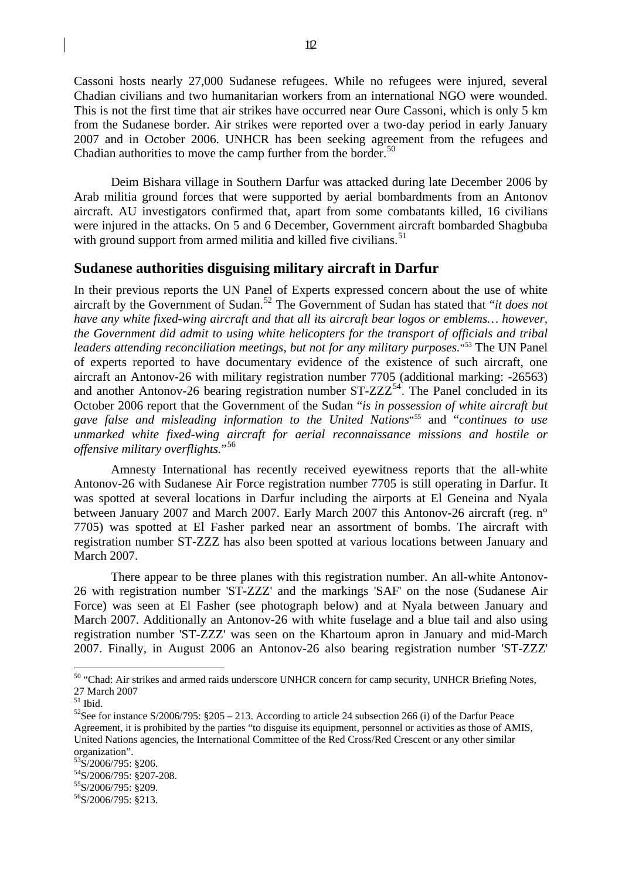<span id="page-11-0"></span>Cassoni hosts nearly 27,000 Sudanese refugees. While no refugees were injured, several Chadian civilians and two humanitarian workers from an international NGO were wounded. This is not the first time that air strikes have occurred near Oure Cassoni, which is only 5 km from the Sudanese border. Air strikes were reported over a two-day period in early January 2007 and in October 2006. UNHCR has been seeking agreement from the refugees and Chadian authorities to move the camp further from the border. $50$ 

Deim Bishara village in Southern Darfur was attacked during late December 2006 by Arab militia ground forces that were supported by aerial bombardments from an Antonov aircraft. AU investigators confirmed that, apart from some combatants killed, 16 civilians were injured in the attacks. On 5 and 6 December, Government aircraft bombarded Shagbuba with ground support from armed militia and killed five civilians.<sup>[51](#page-11-2)</sup>

#### **Sudanese authorities disguising military aircraft in Darfur**

In their previous reports the UN Panel of Experts expressed concern about the use of white aircraft by the Government of Sudan.[52](#page-11-3) The Government of Sudan has stated that "*it does not have any white fixed-wing aircraft and that all its aircraft bear logos or emblems… however, the Government did admit to using white helicopters for the transport of officials and tribal*  leaders attending reconciliation meetings, but not for any military purposes."<sup>[53](#page-11-4)</sup> The UN Panel of experts reported to have documentary evidence of the existence of such aircraft, one aircraft an Antonov-26 with military registration number 7705 (additional marking: -26563) and another Antonov-26 bearing registration number  $ST-ZZZ^{54}$  $ST-ZZZ^{54}$  $ST-ZZZ^{54}$ . The Panel concluded in its October 2006 report that the Government of the Sudan "*is in possession of white aircraft but gave false and misleading information to the United Nations*"[55](#page-11-6) and "*continues to use unmarked white fixed-wing aircraft for aerial reconnaissance missions and hostile or offensive military overflights.*"[56](#page-11-7)

Amnesty International has recently received eyewitness reports that the all-white Antonov-26 with Sudanese Air Force registration number 7705 is still operating in Darfur. It was spotted at several locations in Darfur including the airports at El Geneina and Nyala between January 2007 and March 2007. Early March 2007 this Antonov-26 aircraft (reg. n° 7705) was spotted at El Fasher parked near an assortment of bombs. The aircraft with registration number ST-ZZZ has also been spotted at various locations between January and March 2007.

There appear to be three planes with this registration number. An all-white Antonov-26 with registration number 'ST-ZZZ' and the markings 'SAF' on the nose (Sudanese Air Force) was seen at El Fasher (see photograph below) and at Nyala between January and March 2007. Additionally an Antonov-26 with white fuselage and a blue tail and also using registration number 'ST-ZZZ' was seen on the Khartoum apron in January and mid-March 2007. Finally, in August 2006 an Antonov-26 also bearing registration number 'ST-ZZZ'

<span id="page-11-1"></span><sup>&</sup>lt;sup>50</sup> "Chad: Air strikes and armed raids underscore UNHCR concern for camp security, UNHCR Briefing Notes, 27 March 2007

<span id="page-11-2"></span> $^{\rm 51}$  Ibid.

<span id="page-11-3"></span><sup>&</sup>lt;sup>52</sup>See for instance S/2006/795:  $8205 - 213$ . According to article 24 subsection 266 (i) of the Darfur Peace Agreement, it is prohibited by the parties "to disguise its equipment, personnel or activities as those of AMIS, United Nations agencies, the International Committee of the Red Cross/Red Crescent or any other similar organization".

<span id="page-11-4"></span><sup>53</sup>S/2006/795: §206.

<span id="page-11-5"></span><sup>54</sup>S/2006/795: §207-208.

<span id="page-11-6"></span><sup>&</sup>lt;sup>55</sup>S/2006/795: §209.

<span id="page-11-7"></span><sup>56</sup>S/2006/795: §213.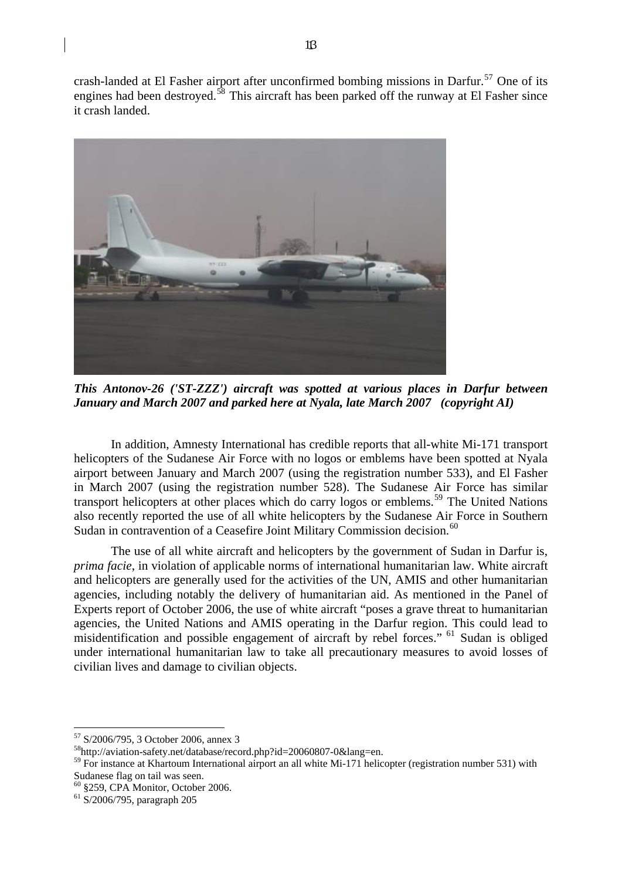crash-landed at El Fasher airport after unconfirmed bombing missions in Darfur.<sup>[57](#page-12-0)</sup> One of its engines had been destroyed.<sup>[58](#page-12-1)</sup> This aircraft has been parked off the runway at El Fasher since it crash landed.



*This Antonov-26 ('ST-ZZZ') aircraft was spotted at various places in Darfur between January and March 2007 and parked here at Nyala, late March 2007 (copyright AI)* 

In addition, Amnesty International has credible reports that all-white Mi-171 transport helicopters of the Sudanese Air Force with no logos or emblems have been spotted at Nyala airport between January and March 2007 (using the registration number 533), and El Fasher in March 2007 (using the registration number 528). The Sudanese Air Force has similar transport helicopters at other places which do carry logos or emblems.[59](#page-12-2) The United Nations also recently reported the use of all white helicopters by the Sudanese Air Force in Southern Sudan in contravention of a Ceasefire Joint Military Commission decision.<sup>[60](#page-12-3)</sup>

The use of all white aircraft and helicopters by the government of Sudan in Darfur is, *prima facie*, in violation of applicable norms of international humanitarian law. White aircraft and helicopters are generally used for the activities of the UN, AMIS and other humanitarian agencies, including notably the delivery of humanitarian aid. As mentioned in the Panel of Experts report of October 2006, the use of white aircraft "poses a grave threat to humanitarian agencies, the United Nations and AMIS operating in the Darfur region. This could lead to misidentification and possible engagement of aircraft by rebel forces." [61](#page-12-4) Sudan is obliged under international humanitarian law to take all precautionary measures to avoid losses of civilian lives and damage to civilian objects.

<span id="page-12-0"></span><sup>57</sup> S/2006/795, 3 October 2006, annex 3

<span id="page-12-1"></span><sup>58</sup>http://aviation-safety.net/database/record.php?id=20060807-0&lang=en.

<span id="page-12-2"></span><sup>&</sup>lt;sup>59</sup> For instance at Khartoum International airport an all white Mi-171 helicopter (registration number 531) with Sudanese flag on tail was seen.

<span id="page-12-3"></span><sup>60 §259,</sup> CPA Monitor, October 2006.

<span id="page-12-4"></span><sup>61</sup> S/2006/795, paragraph 205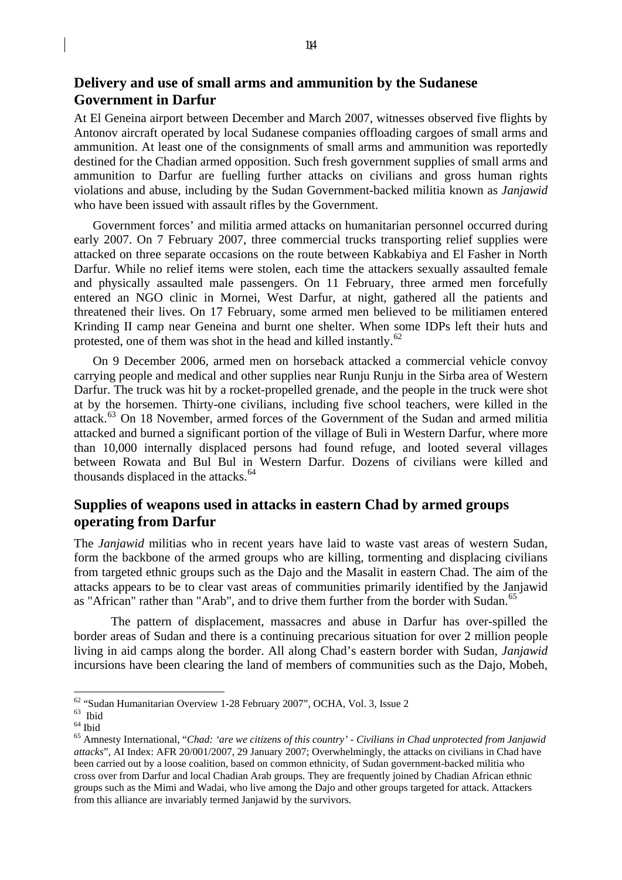## <span id="page-13-0"></span>**Delivery and use of small arms and ammunition by the Sudanese Government in Darfur**

At El Geneina airport between December and March 2007, witnesses observed five flights by Antonov aircraft operated by local Sudanese companies offloading cargoes of small arms and ammunition. At least one of the consignments of small arms and ammunition was reportedly destined for the Chadian armed opposition. Such fresh government supplies of small arms and ammunition to Darfur are fuelling further attacks on civilians and gross human rights violations and abuse, including by the Sudan Government-backed militia known as *Janjawid* who have been issued with assault rifles by the Government.

 Government forces' and militia armed attacks on humanitarian personnel occurred during early 2007. On 7 February 2007, three commercial trucks transporting relief supplies were attacked on three separate occasions on the route between Kabkabiya and El Fasher in North Darfur. While no relief items were stolen, each time the attackers sexually assaulted female and physically assaulted male passengers. On 11 February, three armed men forcefully entered an NGO clinic in Mornei, West Darfur, at night, gathered all the patients and threatened their lives. On 17 February, some armed men believed to be militiamen entered Krinding II camp near Geneina and burnt one shelter. When some IDPs left their huts and protested, one of them was shot in the head and killed instantly.<sup>[62](#page-13-1)</sup>

 On 9 December 2006, armed men on horseback attacked a commercial vehicle convoy carrying people and medical and other supplies near Runju Runju in the Sirba area of Western Darfur. The truck was hit by a rocket-propelled grenade, and the people in the truck were shot at by the horsemen. Thirty-one civilians, including five school teachers, were killed in the attack.<sup>[63](#page-13-2)</sup> On 18 November, armed forces of the Government of the Sudan and armed militia attacked and burned a significant portion of the village of Buli in Western Darfur, where more than 10,000 internally displaced persons had found refuge, and looted several villages between Rowata and Bul Bul in Western Darfur. Dozens of civilians were killed and thousands displaced in the attacks.<sup>[64](#page-13-3)</sup>

## **Supplies of weapons used in attacks in eastern Chad by armed groups operating from Darfur**

The *Janjawid* militias who in recent years have laid to waste vast areas of western Sudan, form the backbone of the armed groups who are killing, tormenting and displacing civilians from targeted ethnic groups such as the Dajo and the Masalit in eastern Chad. The aim of the attacks appears to be to clear vast areas of communities primarily identified by the Janjawid as "African" rather than "Arab", and to drive them further from the border with Sudan.<sup>[65](#page-13-4)</sup>

The pattern of displacement, massacres and abuse in Darfur has over-spilled the border areas of Sudan and there is a continuing precarious situation for over 2 million people living in aid camps along the border. All along Chad's eastern border with Sudan, *Janjawid* incursions have been clearing the land of members of communities such as the Dajo, Mobeh,

<sup>&</sup>lt;sup>62</sup> "Sudan Humanitarian Overview 1-28 February 2007", OCHA, Vol. 3, Issue 2

<span id="page-13-2"></span><span id="page-13-1"></span><sup>63</sup> Ibid

<span id="page-13-3"></span><sup>64</sup> Ibid

<span id="page-13-4"></span><sup>65</sup> Amnesty International, "*Chad: 'are we citizens of this country' - Civilians in Chad unprotected from Janjawid attacks*", AI Index: AFR 20/001/2007, 29 January 2007; Overwhelmingly, the attacks on civilians in Chad have been carried out by a loose coalition, based on common ethnicity, of Sudan government-backed militia who cross over from Darfur and local Chadian Arab groups. They are frequently joined by Chadian African ethnic groups such as the Mimi and Wadai, who live among the Dajo and other groups targeted for attack. Attackers from this alliance are invariably termed Janjawid by the survivors.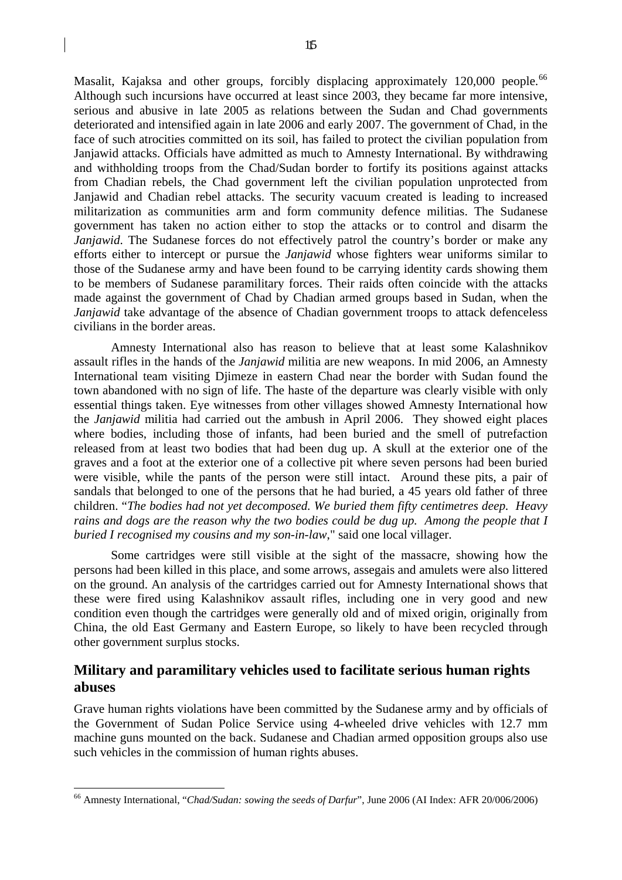<span id="page-14-0"></span>Masalit, Kajaksa and other groups, forcibly displacing approximately 120,000 people.<sup>[66](#page-14-1)</sup> Although such incursions have occurred at least since 2003, they became far more intensive, serious and abusive in late 2005 as relations between the Sudan and Chad governments deteriorated and intensified again in late 2006 and early 2007. The government of Chad, in the face of such atrocities committed on its soil, has failed to protect the civilian population from Janjawid attacks. Officials have admitted as much to Amnesty International. By withdrawing and withholding troops from the Chad/Sudan border to fortify its positions against attacks from Chadian rebels, the Chad government left the civilian population unprotected from Janjawid and Chadian rebel attacks. The security vacuum created is leading to increased militarization as communities arm and form community defence militias. The Sudanese government has taken no action either to stop the attacks or to control and disarm the *Janjawid*. The Sudanese forces do not effectively patrol the country's border or make any efforts either to intercept or pursue the *Janjawid* whose fighters wear uniforms similar to those of the Sudanese army and have been found to be carrying identity cards showing them to be members of Sudanese paramilitary forces. Their raids often coincide with the attacks made against the government of Chad by Chadian armed groups based in Sudan, when the *Janjawid* take advantage of the absence of Chadian government troops to attack defenceless civilians in the border areas.

Amnesty International also has reason to believe that at least some Kalashnikov assault rifles in the hands of the *Janjawid* militia are new weapons. In mid 2006, an Amnesty International team visiting Djimeze in eastern Chad near the border with Sudan found the town abandoned with no sign of life. The haste of the departure was clearly visible with only essential things taken. Eye witnesses from other villages showed Amnesty International how the *Janjawid* militia had carried out the ambush in April 2006. They showed eight places where bodies, including those of infants, had been buried and the smell of putrefaction released from at least two bodies that had been dug up. A skull at the exterior one of the graves and a foot at the exterior one of a collective pit where seven persons had been buried were visible, while the pants of the person were still intact. Around these pits, a pair of sandals that belonged to one of the persons that he had buried, a 45 years old father of three children. "*The bodies had not yet decomposed. We buried them fifty centimetres deep. Heavy rains and dogs are the reason why the two bodies could be dug up. Among the people that I buried I recognised my cousins and my son-in-law*," said one local villager.

Some cartridges were still visible at the sight of the massacre, showing how the persons had been killed in this place, and some arrows, assegais and amulets were also littered on the ground. An analysis of the cartridges carried out for Amnesty International shows that these were fired using Kalashnikov assault rifles, including one in very good and new condition even though the cartridges were generally old and of mixed origin, originally from China, the old East Germany and Eastern Europe, so likely to have been recycled through other government surplus stocks.

## **Military and paramilitary vehicles used to facilitate serious human rights abuses**

Grave human rights violations have been committed by the Sudanese army and by officials of the Government of Sudan Police Service using 4-wheeled drive vehicles with 12.7 mm machine guns mounted on the back. Sudanese and Chadian armed opposition groups also use such vehicles in the commission of human rights abuses.

<span id="page-14-1"></span><sup>66</sup> Amnesty International, "*Chad/Sudan: sowing the seeds of Darfur*", June 2006 (AI Index: AFR 20/006/2006)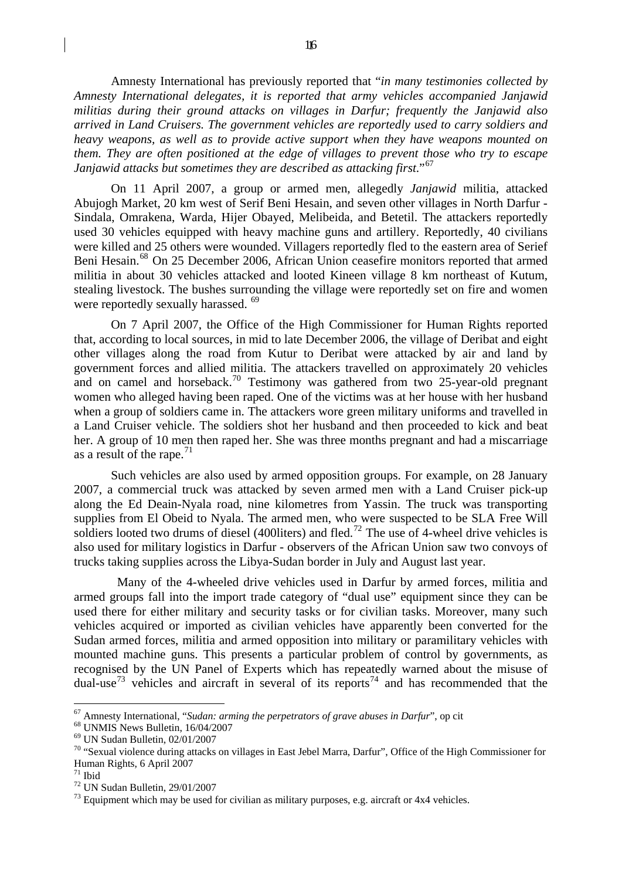Amnesty International has previously reported that "*in many testimonies collected by Amnesty International delegates, it is reported that army vehicles accompanied Janjawid militias during their ground attacks on villages in Darfur; frequently the Janjawid also arrived in Land Cruisers. The government vehicles are reportedly used to carry soldiers and heavy weapons, as well as to provide active support when they have weapons mounted on them. They are often positioned at the edge of villages to prevent those who try to escape Janjawid attacks but sometimes they are described as attacking first*."[67](#page-15-0)

On 11 April 2007, a group or armed men, allegedly *Janjawid* militia, attacked Abujogh Market, 20 km west of Serif Beni Hesain, and seven other villages in North Darfur - Sindala, Omrakena, Warda, Hijer Obayed, Melibeida, and Betetil. The attackers reportedly used 30 vehicles equipped with heavy machine guns and artillery. Reportedly, 40 civilians were killed and 25 others were wounded. Villagers reportedly fled to the eastern area of Serief Beni Hesain.<sup>[68](#page-15-1)</sup> On 25 December 2006, African Union ceasefire monitors reported that armed militia in about 30 vehicles attacked and looted Kineen village 8 km northeast of Kutum, stealing livestock. The bushes surrounding the village were reportedly set on fire and women were reportedly sexually harassed. <sup>[69](#page-15-2)</sup>

On 7 April 2007, the Office of the High Commissioner for Human Rights reported that, according to local sources, in mid to late December 2006, the village of Deribat and eight other villages along the road from Kutur to Deribat were attacked by air and land by government forces and allied militia. The attackers travelled on approximately 20 vehicles and on camel and horseback.<sup>[70](#page-15-3)</sup> Testimony was gathered from two 25-year-old pregnant women who alleged having been raped. One of the victims was at her house with her husband when a group of soldiers came in. The attackers wore green military uniforms and travelled in a Land Cruiser vehicle. The soldiers shot her husband and then proceeded to kick and beat her. A group of 10 men then raped her. She was three months pregnant and had a miscarriage as a result of the rape.<sup>[71](#page-15-4)</sup>

Such vehicles are also used by armed opposition groups. For example, on 28 January 2007, a commercial truck was attacked by seven armed men with a Land Cruiser pick-up along the Ed Deain-Nyala road, nine kilometres from Yassin. The truck was transporting supplies from El Obeid to Nyala. The armed men, who were suspected to be SLA Free Will soldiers looted two drums of diesel (400 liters) and fled.<sup>[72](#page-15-5)</sup> The use of 4-wheel drive vehicles is also used for military logistics in Darfur - observers of the African Union saw two convoys of trucks taking supplies across the Libya-Sudan border in July and August last year.

 Many of the 4-wheeled drive vehicles used in Darfur by armed forces, militia and armed groups fall into the import trade category of "dual use" equipment since they can be used there for either military and security tasks or for civilian tasks. Moreover, many such vehicles acquired or imported as civilian vehicles have apparently been converted for the Sudan armed forces, militia and armed opposition into military or paramilitary vehicles with mounted machine guns. This presents a particular problem of control by governments, as recognised by the UN Panel of Experts which has repeatedly warned about the misuse of dual-use<sup>[73](#page-15-6)</sup> vehicles and aircraft in several of its reports<sup>[74](#page-15-7)</sup> and has recommended that the

<span id="page-15-7"></span><span id="page-15-0"></span><sup>&</sup>lt;sup>67</sup> Amnesty International, "*Sudan: arming the perpetrators of grave abuses in Darfur*", op cit <sup>68</sup> UNMIS News Bulletin, 16/04/2007

<span id="page-15-1"></span>

<span id="page-15-2"></span><sup>69</sup> UN Sudan Bulletin, 02/01/2007

<span id="page-15-3"></span><sup>70 &</sup>quot;Sexual violence during attacks on villages in East Jebel Marra, Darfur", Office of the High Commissioner for Human Rights, 6 April 2007

<span id="page-15-4"></span> $71$  Ibid

<span id="page-15-5"></span><sup>72</sup> UN Sudan Bulletin, 29/01/2007

<span id="page-15-6"></span> $^{73}$  Equipment which may be used for civilian as military purposes, e.g. aircraft or  $4x4$  vehicles.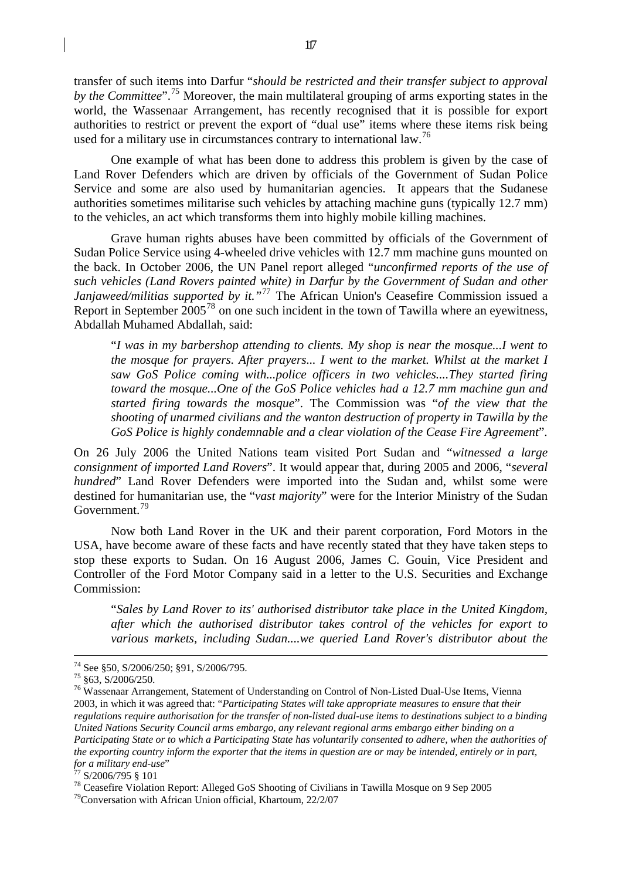transfer of such items into Darfur "*should be restricted and their transfer subject to approval by the Committee*".[75](#page-16-0) Moreover, the main multilateral grouping of arms exporting states in the world, the Wassenaar Arrangement, has recently recognised that it is possible for export authorities to restrict or prevent the export of "dual use" items where these items risk being used for a military use in circumstances contrary to international law.<sup>[76](#page-16-1)</sup>

One example of what has been done to address this problem is given by the case of Land Rover Defenders which are driven by officials of the Government of Sudan Police Service and some are also used by humanitarian agencies. It appears that the Sudanese authorities sometimes militarise such vehicles by attaching machine guns (typically 12.7 mm) to the vehicles, an act which transforms them into highly mobile killing machines.

Grave human rights abuses have been committed by officials of the Government of Sudan Police Service using 4-wheeled drive vehicles with 12.7 mm machine guns mounted on the back. In October 2006, the UN Panel report alleged "*unconfirmed reports of the use of such vehicles (Land Rovers painted white) in Darfur by the Government of Sudan and other Janjaweed/militias supported by it.*"<sup>[77](#page-16-2)</sup> The African Union's Ceasefire Commission issued a Report in September  $2005^{78}$  $2005^{78}$  $2005^{78}$  on one such incident in the town of Tawilla where an eyewitness, Abdallah Muhamed Abdallah, said:

"*I was in my barbershop attending to clients. My shop is near the mosque...I went to the mosque for prayers. After prayers... I went to the market. Whilst at the market I saw GoS Police coming with...police officers in two vehicles....They started firing toward the mosque...One of the GoS Police vehicles had a 12.7 mm machine gun and started firing towards the mosque*". The Commission was "*of the view that the shooting of unarmed civilians and the wanton destruction of property in Tawilla by the GoS Police is highly condemnable and a clear violation of the Cease Fire Agreement*".

On 26 July 2006 the United Nations team visited Port Sudan and "*witnessed a large consignment of imported Land Rovers*". It would appear that, during 2005 and 2006, "*several hundred*" Land Rover Defenders were imported into the Sudan and, whilst some were destined for humanitarian use, the "*vast majority*" were for the Interior Ministry of the Sudan Government.[79](#page-16-4)

Now both Land Rover in the UK and their parent corporation, Ford Motors in the USA, have become aware of these facts and have recently stated that they have taken steps to stop these exports to Sudan. On 16 August 2006, James C. Gouin, Vice President and Controller of the Ford Motor Company said in a letter to the U.S. Securities and Exchange Commission:

"*Sales by Land Rover to its' authorised distributor take place in the United Kingdom, after which the authorised distributor takes control of the vehicles for export to various markets, including Sudan....we queried Land Rover's distributor about the* 

 <sup>74</sup> See §50, S/2006/250; §91, S/2006/795.

<span id="page-16-0"></span> $75$  §63, S/2006/250.

<span id="page-16-1"></span><sup>&</sup>lt;sup>76</sup> Wassenaar Arrangement, Statement of Understanding on Control of Non-Listed Dual-Use Items, Vienna 2003, in which it was agreed that: "*Participating States will take appropriate measures to ensure that their regulations require authorisation for the transfer of non-listed dual-use items to destinations subject to a binding United Nations Security Council arms embargo, any relevant regional arms embargo either binding on a Participating State or to which a Participating State has voluntarily consented to adhere, when the authorities of the exporting country inform the exporter that the items in question are or may be intended, entirely or in part, for a military end-use*" 77 S/2006/795 § 101

<span id="page-16-2"></span>

<span id="page-16-3"></span><sup>&</sup>lt;sup>78</sup> Ceasefire Violation Report: Alleged GoS Shooting of Civilians in Tawilla Mosque on 9 Sep 2005 <sup>79</sup>Conversation with African Union official, Khartoum, 22/2/07

<span id="page-16-4"></span>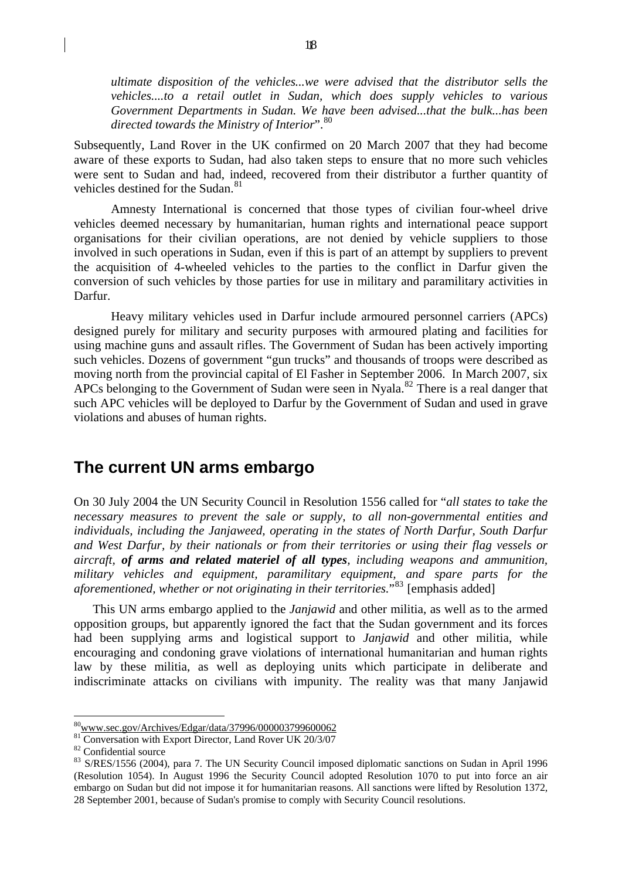<span id="page-17-0"></span>*ultimate disposition of the vehicles...we were advised that the distributor sells the vehicles....to a retail outlet in Sudan, which does supply vehicles to various Government Departments in Sudan. We have been advised...that the bulk...has been directed towards the Ministry of Interior*".[80](#page-17-1)

Subsequently, Land Rover in the UK confirmed on 20 March 2007 that they had become aware of these exports to Sudan, had also taken steps to ensure that no more such vehicles were sent to Sudan and had, indeed, recovered from their distributor a further quantity of vehicles destined for the Sudan.<sup>[81](#page-17-2)</sup>

Amnesty International is concerned that those types of civilian four-wheel drive vehicles deemed necessary by humanitarian, human rights and international peace support organisations for their civilian operations, are not denied by vehicle suppliers to those involved in such operations in Sudan, even if this is part of an attempt by suppliers to prevent the acquisition of 4-wheeled vehicles to the parties to the conflict in Darfur given the conversion of such vehicles by those parties for use in military and paramilitary activities in Darfur.

Heavy military vehicles used in Darfur include armoured personnel carriers (APCs) designed purely for military and security purposes with armoured plating and facilities for using machine guns and assault rifles. The Government of Sudan has been actively importing such vehicles. Dozens of government "gun trucks" and thousands of troops were described as moving north from the provincial capital of El Fasher in September 2006. In March 2007, six APCs belonging to the Government of Sudan were seen in Nyala.<sup>[82](#page-17-3)</sup> There is a real danger that such APC vehicles will be deployed to Darfur by the Government of Sudan and used in grave violations and abuses of human rights.

## **The current UN arms embargo**

On 30 July 2004 the UN Security Council in Resolution 1556 called for "*all states to take the necessary measures to prevent the sale or supply, to all non-governmental entities and individuals, including the Janjaweed, operating in the states of North Darfur, South Darfur and West Darfur, by their nationals or from their territories or using their flag vessels or aircraft, of arms and related materiel of all types, including weapons and ammunition, military vehicles and equipment, paramilitary equipment, and spare parts for the aforementioned, whether or not originating in their territories.*<sup>[83](#page-17-4)</sup> [emphasis added]

This UN arms embargo applied to the *Janjawid* and other militia, as well as to the armed opposition groups, but apparently ignored the fact that the Sudan government and its forces had been supplying arms and logistical support to *Janjawid* and other militia, while encouraging and condoning grave violations of international humanitarian and human rights law by these militia, as well as deploying units which participate in deliberate and indiscriminate attacks on civilians with impunity. The reality was that many Janjawid

<span id="page-17-1"></span><sup>8</sup>[0www.sec.gov/Archives/Edgar/data/37996/000003799600062](http://www.sec.gov/Archives/Edgar/data/37996/000003799600062)

<span id="page-17-2"></span><sup>81</sup> Conversation with Export Director, Land Rover UK 20/3/07

 $82$  Confidential source

<span id="page-17-4"></span><span id="page-17-3"></span><sup>&</sup>lt;sup>83</sup> S/RES/1556 (2004), para 7. The UN Security Council imposed diplomatic sanctions on Sudan in April 1996 (Resolution 1054). In August 1996 the Security Council adopted Resolution 1070 to put into force an air embargo on Sudan but did not impose it for humanitarian reasons. All sanctions were lifted by Resolution 1372, 28 September 2001, because of Sudan's promise to comply with Security Council resolutions.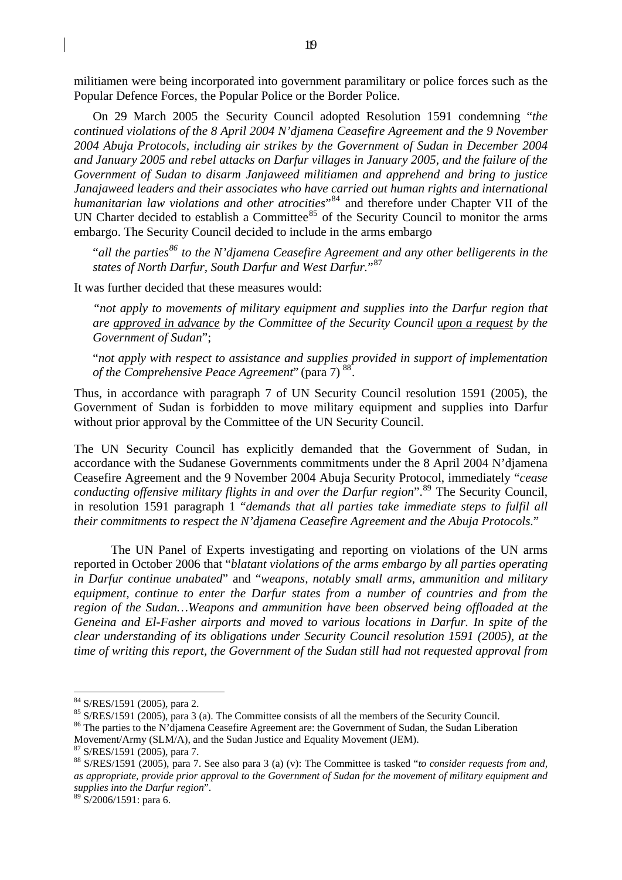militiamen were being incorporated into government paramilitary or police forces such as the Popular Defence Forces, the Popular Police or the Border Police.

On 29 March 2005 the Security Council adopted Resolution 1591 condemning "*the continued violations of the 8 April 2004 N'djamena Ceasefire Agreement and the 9 November 2004 Abuja Protocols, including air strikes by the Government of Sudan in December 2004 and January 2005 and rebel attacks on Darfur villages in January 2005, and the failure of the Government of Sudan to disarm Janjaweed militiamen and apprehend and bring to justice Janajaweed leaders and their associates who have carried out human rights and international humanitarian law violations and other atrocities*<sup>"[84](#page-18-0)</sup> and therefore under Chapter VII of the UN Charter decided to establish a Committee<sup>[85](#page-18-1)</sup> of the Security Council to monitor the arms embargo. The Security Council decided to include in the arms embargo

"*all the parties[86](#page-18-2) to the N'djamena Ceasefire Agreement and any other belligerents in the states of North Darfur, South Darfur and West Darfur.*"[87](#page-18-3)

It was further decided that these measures would:

*"not apply to movements of military equipment and supplies into the Darfur region that are approved in advance by the Committee of the Security Council upon a request by the Government of Sudan*";

"*not apply with respect to assistance and supplies provided in support of implementation of the Comprehensive Peace Agreement*" (para 7) [88](#page-18-4).

Thus, in accordance with paragraph 7 of UN Security Council resolution 1591 (2005), the Government of Sudan is forbidden to move military equipment and supplies into Darfur without prior approval by the Committee of the UN Security Council.

The UN Security Council has explicitly demanded that the Government of Sudan, in accordance with the Sudanese Governments commitments under the 8 April 2004 N'djamena Ceasefire Agreement and the 9 November 2004 Abuja Security Protocol, immediately "*cease conducting offensive military flights in and over the Darfur region*".[89](#page-18-5) The Security Council, in resolution 1591 paragraph 1 "*demands that all parties take immediate steps to fulfil all their commitments to respect the N'djamena Ceasefire Agreement and the Abuja Protocols.*"

The UN Panel of Experts investigating and reporting on violations of the UN arms reported in October 2006 that "*blatant violations of the arms embargo by all parties operating in Darfur continue unabated*" and "*weapons, notably small arms, ammunition and military equipment, continue to enter the Darfur states from a number of countries and from the region of the Sudan…Weapons and ammunition have been observed being offloaded at the Geneina and El-Fasher airports and moved to various locations in Darfur. In spite of the clear understanding of its obligations under Security Council resolution 1591 (2005), at the time of writing this report, the Government of the Sudan still had not requested approval from* 

1

<span id="page-18-2"></span><span id="page-18-1"></span><sup>86</sup> The parties to the N'djamena Ceasefire Agreement are: the Government of Sudan, the Sudan Liberation

Movement/Army (SLM/A), and the Sudan Justice and Equality Movement (JEM). 87 S/RES/1591 (2005), para 7.

<span id="page-18-0"></span> $^{84}$  S/RES/1591 (2005), para 2.<br> $^{85}$  S/RES/1591 (2005), para 3 (a). The Committee consists of all the members of the Security Council.

<span id="page-18-4"></span><span id="page-18-3"></span><sup>88</sup> S/RES/1591 (2005), para 7. See also para 3 (a) (v): The Committee is tasked "*to consider requests from and, as appropriate, provide prior approval to the Government of Sudan for the movement of military equipment and supplies into the Darfur region*".

<span id="page-18-5"></span> $89$  S/2006/1591: para 6.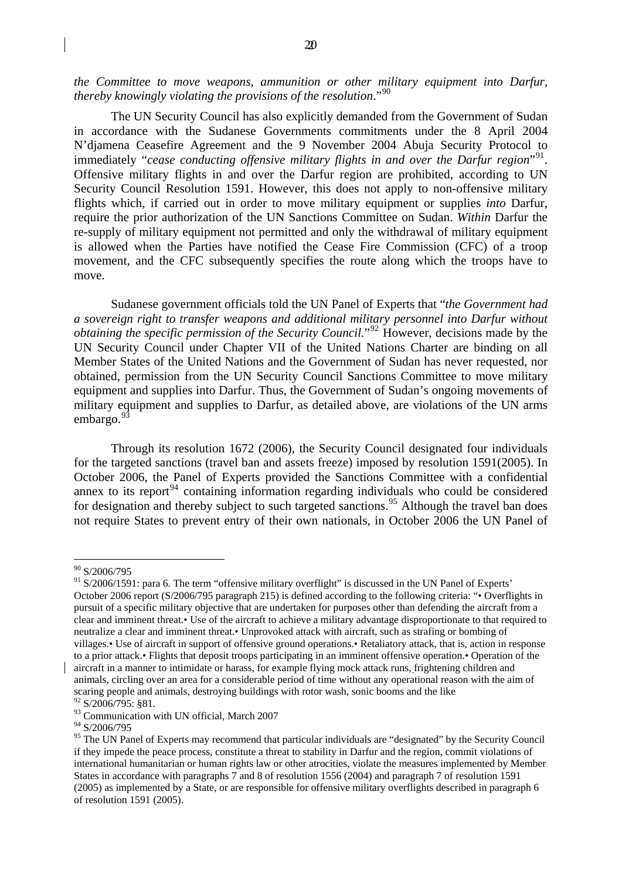*the Committee to move weapons, ammunition or other military equipment into Darfur, thereby knowingly violating the provisions of the resolution*."[90](#page-19-0)

The UN Security Council has also explicitly demanded from the Government of Sudan in accordance with the Sudanese Governments commitments under the 8 April 2004 N'djamena Ceasefire Agreement and the 9 November 2004 Abuja Security Protocol to immediately "*cease conducting offensive military flights in and over the Darfur region*"<sup>[91](#page-19-1)</sup>. Offensive military flights in and over the Darfur region are prohibited, according to UN Security Council Resolution 1591. However, this does not apply to non-offensive military flights which, if carried out in order to move military equipment or supplies *into* Darfur, require the prior authorization of the UN Sanctions Committee on Sudan. *Within* Darfur the re-supply of military equipment not permitted and only the withdrawal of military equipment is allowed when the Parties have notified the Cease Fire Commission (CFC) of a troop movement, and the CFC subsequently specifies the route along which the troops have to move.

Sudanese government officials told the UN Panel of Experts that "*the Government had a sovereign right to transfer weapons and additional military personnel into Darfur without obtaining the specific permission of the Security Council.*"<sup>[92](#page-19-2)</sup> However, decisions made by the UN Security Council under Chapter VII of the United Nations Charter are binding on all Member States of the United Nations and the Government of Sudan has never requested, nor obtained, permission from the UN Security Council Sanctions Committee to move military equipment and supplies into Darfur. Thus, the Government of Sudan's ongoing movements of military equipment and supplies to Darfur, as detailed above, are violations of the UN arms embargo.<sup>[93](#page-19-3)</sup>

Through its resolution 1672 (2006), the Security Council designated four individuals for the targeted sanctions (travel ban and assets freeze) imposed by resolution 1591(2005). In October 2006, the Panel of Experts provided the Sanctions Committee with a confidential annex to its report<sup>[94](#page-19-4)</sup> containing information regarding individuals who could be considered for designation and thereby subject to such targeted sanctions.<sup>[95](#page-19-5)</sup> Although the travel ban does not require States to prevent entry of their own nationals, in October 2006 the UN Panel of

<sup>90</sup> S/2006/795

<span id="page-19-1"></span><span id="page-19-0"></span><sup>&</sup>lt;sup>91</sup> S/2006/1591: para 6. The term "offensive military overflight" is discussed in the UN Panel of Experts' October 2006 report (S/2006/795 paragraph 215) is defined according to the following criteria: "• Overflights in pursuit of a specific military objective that are undertaken for purposes other than defending the aircraft from a clear and imminent threat.• Use of the aircraft to achieve a military advantage disproportionate to that required to neutralize a clear and imminent threat.• Unprovoked attack with aircraft, such as strafing or bombing of villages.• Use of aircraft in support of offensive ground operations.• Retaliatory attack, that is, action in response to a prior attack.• Flights that deposit troops participating in an imminent offensive operation.• Operation of the aircraft in a manner to intimidate or harass, for example flying mock attack runs, frightening children and animals, circling over an area for a considerable period of time without any operational reason with the aim of scaring people and animals, destroying buildings with rotor wash, sonic booms and the like 92 S/2006/795: §81.

<span id="page-19-2"></span><sup>&</sup>lt;sup>93</sup> Communication with UN official, March 2007

<span id="page-19-4"></span><span id="page-19-3"></span><sup>94</sup> S/2006/795

<span id="page-19-5"></span><sup>&</sup>lt;sup>95</sup> The UN Panel of Experts may recommend that particular individuals are "designated" by the Security Council if they impede the peace process, constitute a threat to stability in Darfur and the region, commit violations of international humanitarian or human rights law or other atrocities, violate the measures implemented by Member States in accordance with paragraphs 7 and 8 of resolution 1556 (2004) and paragraph 7 of resolution 1591 (2005) as implemented by a State, or are responsible for offensive military overflights described in paragraph 6 of resolution 1591 (2005).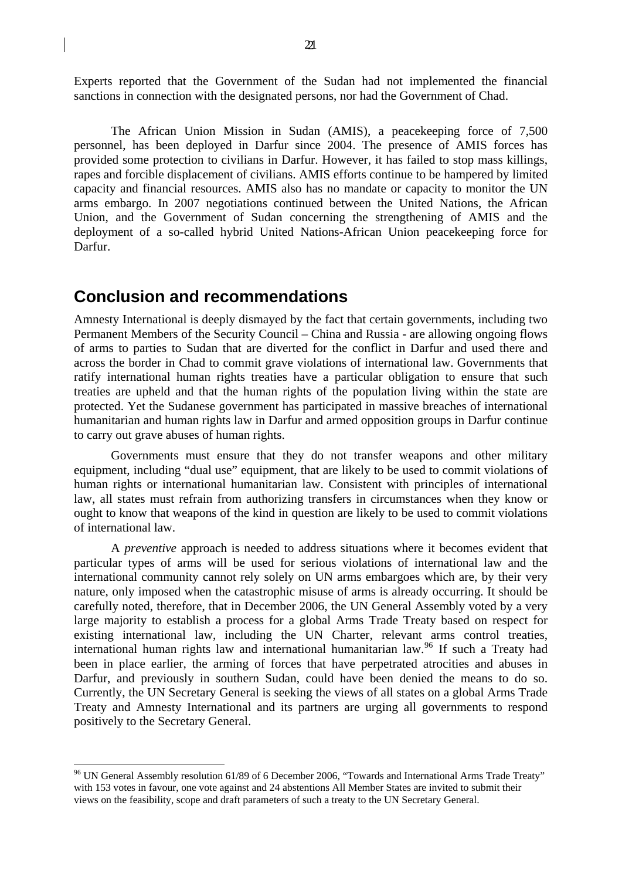<span id="page-20-0"></span>Experts reported that the Government of the Sudan had not implemented the financial sanctions in connection with the designated persons, nor had the Government of Chad.

The African Union Mission in Sudan (AMIS), a peacekeeping force of 7,500 personnel, has been deployed in Darfur since 2004. The presence of AMIS forces has provided some protection to civilians in Darfur. However, it has failed to stop mass killings, rapes and forcible displacement of civilians. AMIS efforts continue to be hampered by limited capacity and financial resources. AMIS also has no mandate or capacity to monitor the UN arms embargo. In 2007 negotiations continued between the United Nations, the African Union, and the Government of Sudan concerning the strengthening of AMIS and the deployment of a so-called hybrid United Nations-African Union peacekeeping force for Darfur.

## **Conclusion and recommendations**

1

Amnesty International is deeply dismayed by the fact that certain governments, including two Permanent Members of the Security Council – China and Russia - are allowing ongoing flows of arms to parties to Sudan that are diverted for the conflict in Darfur and used there and across the border in Chad to commit grave violations of international law. Governments that ratify international human rights treaties have a particular obligation to ensure that such treaties are upheld and that the human rights of the population living within the state are protected. Yet the Sudanese government has participated in massive breaches of international humanitarian and human rights law in Darfur and armed opposition groups in Darfur continue to carry out grave abuses of human rights.

Governments must ensure that they do not transfer weapons and other military equipment, including "dual use" equipment, that are likely to be used to commit violations of human rights or international humanitarian law. Consistent with principles of international law, all states must refrain from authorizing transfers in circumstances when they know or ought to know that weapons of the kind in question are likely to be used to commit violations of international law.

A *preventive* approach is needed to address situations where it becomes evident that particular types of arms will be used for serious violations of international law and the international community cannot rely solely on UN arms embargoes which are, by their very nature, only imposed when the catastrophic misuse of arms is already occurring. It should be carefully noted, therefore, that in December 2006, the UN General Assembly voted by a very large majority to establish a process for a global Arms Trade Treaty based on respect for existing international law, including the UN Charter, relevant arms control treaties, international human rights law and international humanitarian law.<sup>[96](#page-20-1)</sup> If such a Treaty had been in place earlier, the arming of forces that have perpetrated atrocities and abuses in Darfur, and previously in southern Sudan, could have been denied the means to do so. Currently, the UN Secretary General is seeking the views of all states on a global Arms Trade Treaty and Amnesty International and its partners are urging all governments to respond positively to the Secretary General.

<span id="page-20-1"></span><sup>96</sup> UN General Assembly resolution 61/89 of 6 December 2006, "Towards and International Arms Trade Treaty" with 153 votes in favour, one vote against and 24 abstentions All Member States are invited to submit their views on the feasibility, scope and draft parameters of such a treaty to the UN Secretary General.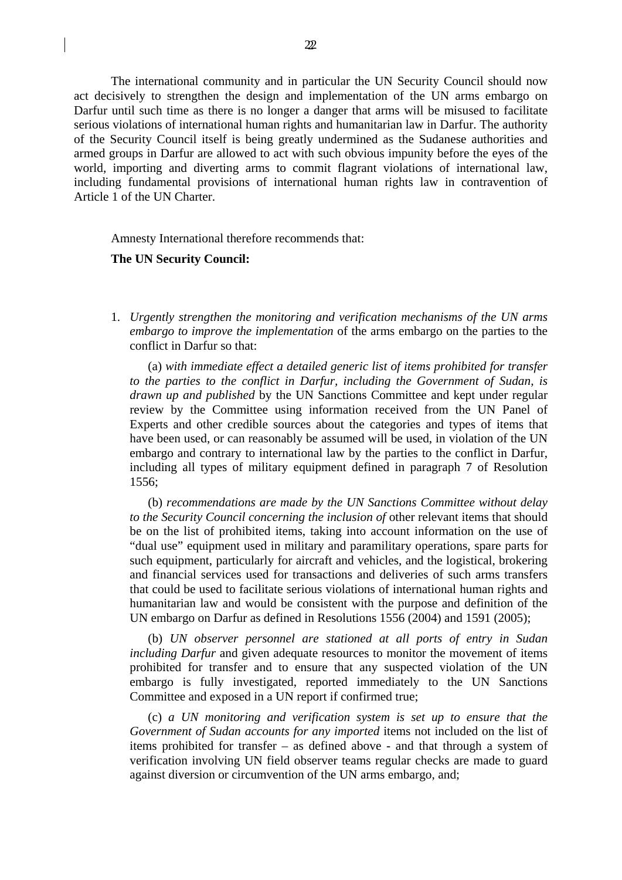The international community and in particular the UN Security Council should now act decisively to strengthen the design and implementation of the UN arms embargo on Darfur until such time as there is no longer a danger that arms will be misused to facilitate serious violations of international human rights and humanitarian law in Darfur. The authority of the Security Council itself is being greatly undermined as the Sudanese authorities and armed groups in Darfur are allowed to act with such obvious impunity before the eyes of the world, importing and diverting arms to commit flagrant violations of international law, including fundamental provisions of international human rights law in contravention of Article 1 of the UN Charter.

Amnesty International therefore recommends that:

#### **The UN Security Council:**

1. *Urgently strengthen the monitoring and verification mechanisms of the UN arms embargo to improve the implementation* of the arms embargo on the parties to the conflict in Darfur so that:

(a) *with immediate effect a detailed generic list of items prohibited for transfer to the parties to the conflict in Darfur, including the Government of Sudan, is drawn up and published* by the UN Sanctions Committee and kept under regular review by the Committee using information received from the UN Panel of Experts and other credible sources about the categories and types of items that have been used, or can reasonably be assumed will be used, in violation of the UN embargo and contrary to international law by the parties to the conflict in Darfur, including all types of military equipment defined in paragraph 7 of Resolution 1556;

(b) *recommendations are made by the UN Sanctions Committee without delay to the Security Council concerning the inclusion of* other relevant items that should be on the list of prohibited items, taking into account information on the use of "dual use" equipment used in military and paramilitary operations, spare parts for such equipment, particularly for aircraft and vehicles, and the logistical, brokering and financial services used for transactions and deliveries of such arms transfers that could be used to facilitate serious violations of international human rights and humanitarian law and would be consistent with the purpose and definition of the UN embargo on Darfur as defined in Resolutions 1556 (2004) and 1591 (2005);

(b) *UN observer personnel are stationed at all ports of entry in Sudan including Darfur* and given adequate resources to monitor the movement of items prohibited for transfer and to ensure that any suspected violation of the UN embargo is fully investigated, reported immediately to the UN Sanctions Committee and exposed in a UN report if confirmed true;

(c) *a UN monitoring and verification system is set up to ensure that the Government of Sudan accounts for any imported* items not included on the list of items prohibited for transfer – as defined above - and that through a system of verification involving UN field observer teams regular checks are made to guard against diversion or circumvention of the UN arms embargo, and;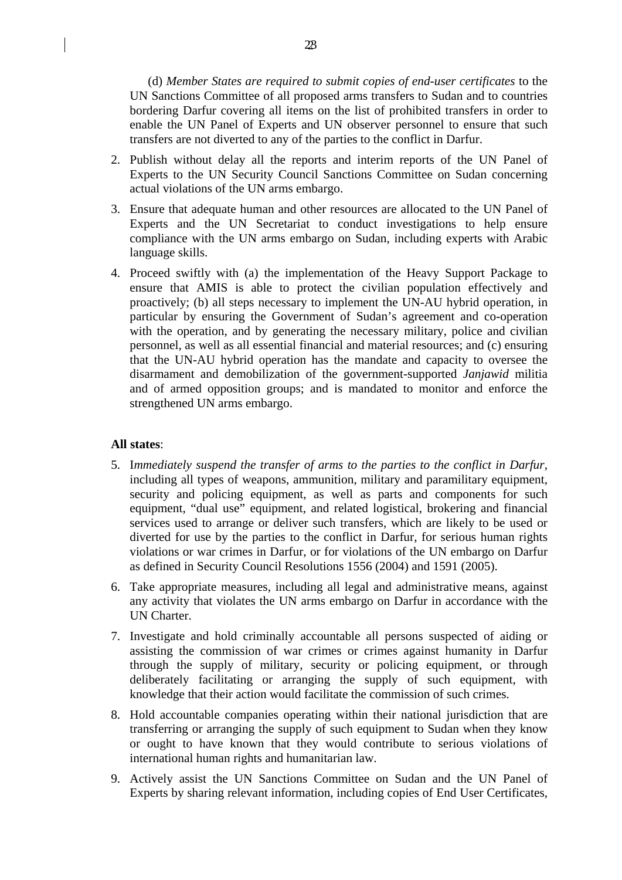(d) *Member States are required to submit copies of end-user certificates* to the UN Sanctions Committee of all proposed arms transfers to Sudan and to countries bordering Darfur covering all items on the list of prohibited transfers in order to enable the UN Panel of Experts and UN observer personnel to ensure that such transfers are not diverted to any of the parties to the conflict in Darfur.

- 2. Publish without delay all the reports and interim reports of the UN Panel of Experts to the UN Security Council Sanctions Committee on Sudan concerning actual violations of the UN arms embargo.
- 3. Ensure that adequate human and other resources are allocated to the UN Panel of Experts and the UN Secretariat to conduct investigations to help ensure compliance with the UN arms embargo on Sudan, including experts with Arabic language skills.
- 4. Proceed swiftly with (a) the implementation of the Heavy Support Package to ensure that AMIS is able to protect the civilian population effectively and proactively; (b) all steps necessary to implement the UN-AU hybrid operation, in particular by ensuring the Government of Sudan's agreement and co-operation with the operation, and by generating the necessary military, police and civilian personnel, as well as all essential financial and material resources; and (c) ensuring that the UN-AU hybrid operation has the mandate and capacity to oversee the disarmament and demobilization of the government-supported *Janjawid* militia and of armed opposition groups; and is mandated to monitor and enforce the strengthened UN arms embargo.

#### **All states**:

- 5. I*mmediately suspend the transfer of arms to the parties to the conflict in Darfur*, including all types of weapons, ammunition, military and paramilitary equipment, security and policing equipment, as well as parts and components for such equipment, "dual use" equipment, and related logistical, brokering and financial services used to arrange or deliver such transfers, which are likely to be used or diverted for use by the parties to the conflict in Darfur, for serious human rights violations or war crimes in Darfur, or for violations of the UN embargo on Darfur as defined in Security Council Resolutions 1556 (2004) and 1591 (2005).
- 6. Take appropriate measures, including all legal and administrative means, against any activity that violates the UN arms embargo on Darfur in accordance with the UN Charter.
- 7. Investigate and hold criminally accountable all persons suspected of aiding or assisting the commission of war crimes or crimes against humanity in Darfur through the supply of military, security or policing equipment, or through deliberately facilitating or arranging the supply of such equipment, with knowledge that their action would facilitate the commission of such crimes.
- 8. Hold accountable companies operating within their national jurisdiction that are transferring or arranging the supply of such equipment to Sudan when they know or ought to have known that they would contribute to serious violations of international human rights and humanitarian law.
- 9. Actively assist the UN Sanctions Committee on Sudan and the UN Panel of Experts by sharing relevant information, including copies of End User Certificates,